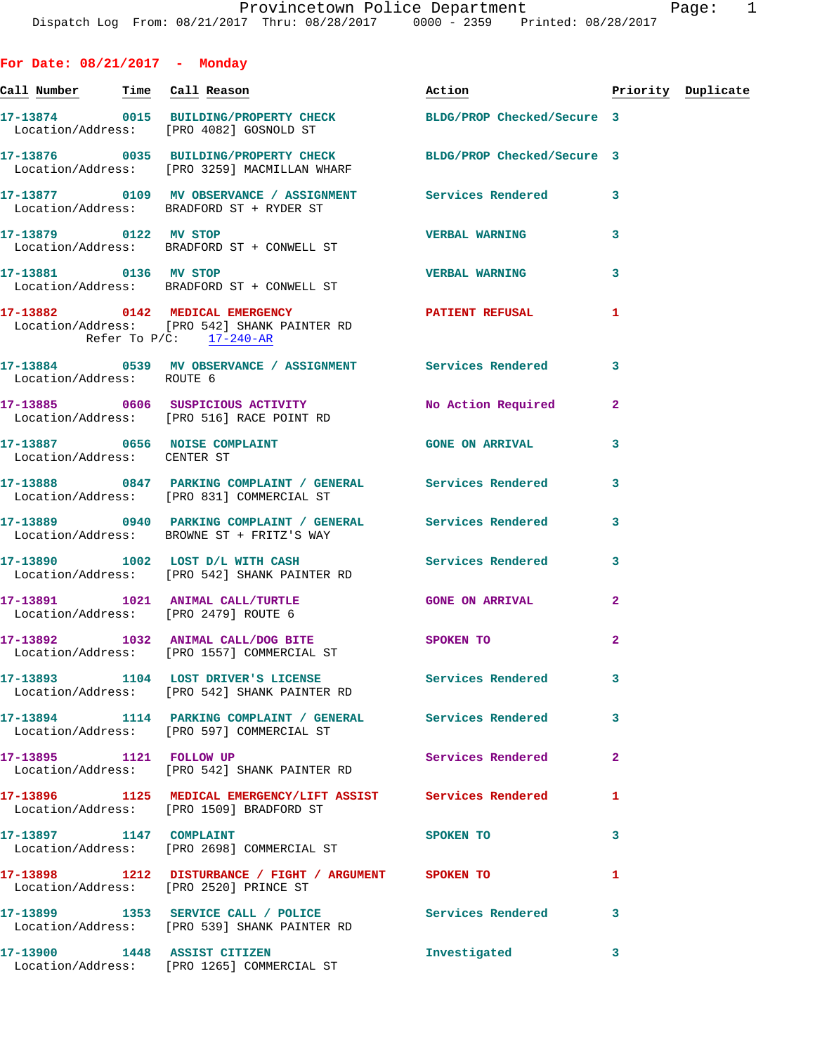| For Date: $08/21/2017$ - Monday      |                                                                                                                  |                        |                |                    |
|--------------------------------------|------------------------------------------------------------------------------------------------------------------|------------------------|----------------|--------------------|
|                                      | <u>Call Number — Time Call Reason</u>                                                                            | Action                 |                | Priority Duplicate |
|                                      | 17-13874 0015 BUILDING/PROPERTY CHECK BLDG/PROP Checked/Secure 3<br>Location/Address: [PRO 4082] GOSNOLD ST      |                        |                |                    |
|                                      | 17-13876 0035 BUILDING/PROPERTY CHECK BLDG/PROP Checked/Secure 3<br>Location/Address: [PRO 3259] MACMILLAN WHARF |                        |                |                    |
|                                      | 17-13877 0109 MV OBSERVANCE / ASSIGNMENT Services Rendered 3<br>Location/Address: BRADFORD ST + RYDER ST         |                        |                |                    |
|                                      | 17-13879 0122 MV STOP<br>Location/Address: BRADFORD ST + CONWELL ST                                              | <b>VERBAL WARNING</b>  | 3              |                    |
| 17-13881 0136 MV STOP                | Location/Address: BRADFORD ST + CONWELL ST                                                                       | <b>VERBAL WARNING</b>  | 3              |                    |
| Refer To $P/C$ : 17-240-AR           | 17-13882 0142 MEDICAL EMERGENCY PATIENT REFUSAL<br>Location/Address: [PRO 542] SHANK PAINTER RD                  |                        | 1              |                    |
| Location/Address: ROUTE 6            | 17-13884 0539 MV OBSERVANCE / ASSIGNMENT Services Rendered 3                                                     |                        |                |                    |
|                                      | 17-13885 0606 SUSPICIOUS ACTIVITY<br>Location/Address: [PRO 516] RACE POINT RD                                   | No Action Required     | $\mathbf{2}$   |                    |
| Location/Address: CENTER ST          | 17-13887 0656 NOISE COMPLAINT                                                                                    | <b>GONE ON ARRIVAL</b> | 3              |                    |
|                                      | 17-13888 0847 PARKING COMPLAINT / GENERAL Services Rendered<br>Location/Address: [PRO 831] COMMERCIAL ST         |                        | 3              |                    |
|                                      | 17-13889 0940 PARKING COMPLAINT / GENERAL Services Rendered<br>Location/Address: BROWNE ST + FRITZ'S WAY         |                        | 3              |                    |
|                                      | 17-13890 1002 LOST D/L WITH CASH Services Rendered<br>Location/Address: [PRO 542] SHANK PAINTER RD               |                        | 3              |                    |
| Location/Address: [PRO 2479] ROUTE 6 | 17-13891 1021 ANIMAL CALL/TURTLE THE GONE ON ARRIVAL                                                             |                        | $\overline{a}$ |                    |
|                                      | 17-13892 1032 ANIMAL CALL/DOG BITE SPOKEN TO<br>Location/Address: [PRO 1557] COMMERCIAL ST                       |                        | $\overline{a}$ |                    |
|                                      | 17-13893 1104 LOST DRIVER'S LICENSE Services Rendered<br>Location/Address: [PRO 542] SHANK PAINTER RD            |                        | 3              |                    |
|                                      | 17-13894 1114 PARKING COMPLAINT / GENERAL Services Rendered<br>Location/Address: [PRO 597] COMMERCIAL ST         |                        | 3              |                    |
| 17-13895 1121 FOLLOW UP              | Location/Address: [PRO 542] SHANK PAINTER RD                                                                     | Services Rendered      | $\mathbf{2}$   |                    |
|                                      | 17-13896 1125 MEDICAL EMERGENCY/LIFT ASSIST Services Rendered<br>Location/Address: [PRO 1509] BRADFORD ST        |                        | 1              |                    |
| 17-13897 1147 COMPLAINT              | Location/Address: [PRO 2698] COMMERCIAL ST                                                                       | SPOKEN TO              | 3              |                    |
|                                      | 17-13898 1212 DISTURBANCE / FIGHT / ARGUMENT SPOKEN TO<br>Location/Address: [PRO 2520] PRINCE ST                 |                        | 1              |                    |
|                                      | 17-13899 1353 SERVICE CALL / POLICE 3 Services Rendered<br>Location/Address: [PRO 539] SHANK PAINTER RD          |                        | 3              |                    |
|                                      | 17-13900 1448 ASSIST CITIZEN<br>Location/Address: [PRO 1265] COMMERCIAL ST                                       | Investigated           | 3              |                    |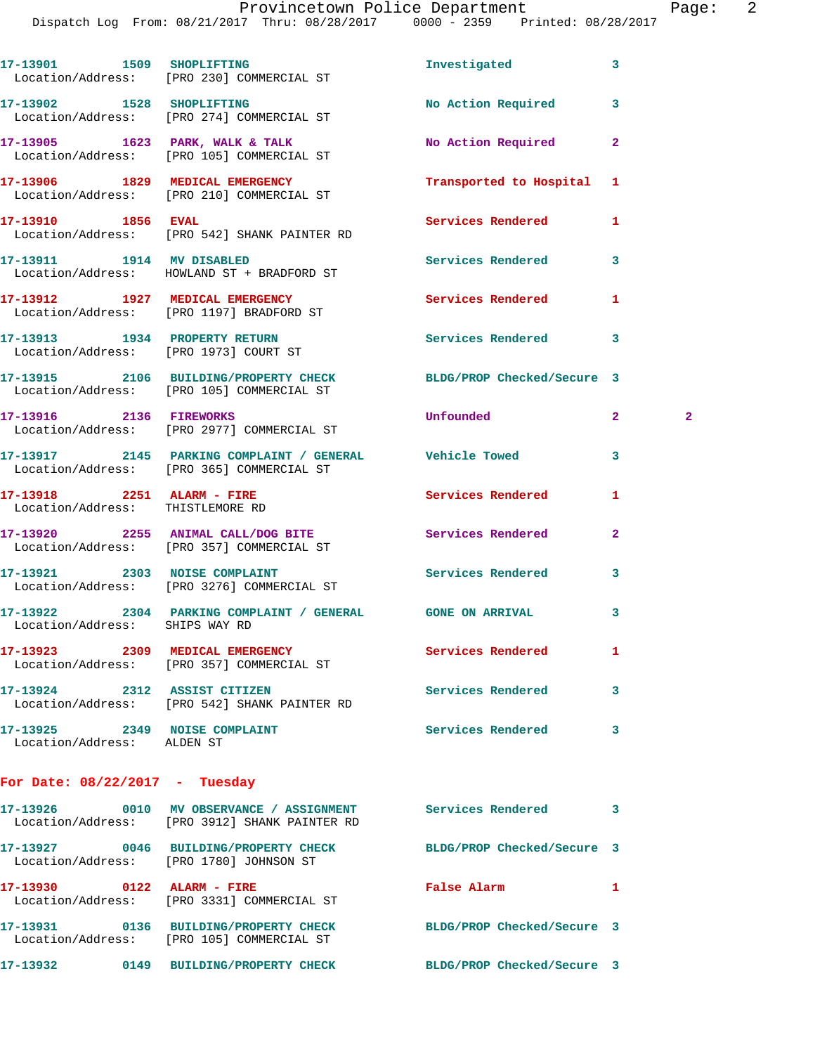Dispatch Log From: 08/21/2017 Thru: 08/28/2017 0000 - 2359 Printed: 08/28/2017

| 17-13901<br>1509<br>Location/Address: | <b>SHOPLIFTING</b><br>[PRO 230] COMMERCIAL ST | Investigated              | 3 |
|---------------------------------------|-----------------------------------------------|---------------------------|---|
| 17-13902<br>1528<br>Location/Address: | <b>SHOPLIFTING</b><br>[PRO 274] COMMERCIAL ST | No Action Required        | 3 |
| 17-13905<br>1623<br>Location/Address: | PARK, WALK & TALK<br>[PRO 105] COMMERCIAL ST  | No Action Required        | 2 |
| 17-13906<br>1829<br>Location/Address: | MEDICAL EMERGENCY<br>[PRO 210] COMMERCIAL ST  | Transported to Hospital 1 |   |

**17-13910 1856 EVAL Services Rendered 1**  Location/Address: [PRO 542] SHANK PAINTER RD

**17-13911 1914 MV DISABLED Services Rendered 3**  Location/Address: HOWLAND ST + BRADFORD ST

**17-13912 1927 MEDICAL EMERGENCY Services Rendered 1**  Location/Address: [PRO 1197] BRADFORD ST **17-13913 1934 PROPERTY RETURN Services Rendered 3** 

Location/Address: [PRO 1973] COURT ST

**17-13915 2106 BUILDING/PROPERTY CHECK BLDG/PROP Checked/Secure 3**  Location/Address: [PRO 105] COMMERCIAL ST

**17-13916 2136 FIREWORKS Unfounded 2 2**  Location/Address: [PRO 2977] COMMERCIAL ST

**17-13917 2145 PARKING COMPLAINT / GENERAL Vehicle Towed 3**  Location/Address: [PRO 365] COMMERCIAL ST

**17-13918 2251 ALARM - FIRE Services Rendered 1**  Location/Address: THISTLEMORE RD

**17-13920 2255 ANIMAL CALL/DOG BITE Services Rendered 2**  Location/Address: [PRO 357] COMMERCIAL ST

**17-13921 2303 NOISE COMPLAINT Services Rendered 3**  Location/Address: [PRO 3276] COMMERCIAL ST

**17-13922 2304 PARKING COMPLAINT / GENERAL GONE ON ARRIVAL 3**  Location/Address: SHIPS WAY RD

**17-13923 2309 MEDICAL EMERGENCY Services Rendered 1**  Location/Address: [PRO 357] COMMERCIAL ST

**17-13924 2312 ASSIST CITIZEN Services Rendered 3**  Location/Address: [PRO 542] SHANK PAINTER RD

17-13925 2349 NOISE COMPLAINT **Services Rendered** 3 Location/Address: ALDEN ST

**For Date: 08/22/2017 - Tuesday**

**17-13926 0010 MV OBSERVANCE / ASSIGNMENT Services Rendered 3**  Location/Address: [PRO 3912] SHANK PAINTER RD **17-13927 0046 BUILDING/PROPERTY CHECK BLDG/PROP Checked/Secure 3**  Location/Address: [PRO 1780] JOHNSON ST **17-13930 0122 ALARM - FIRE False Alarm 1**  Location/Address: [PRO 3331] COMMERCIAL ST **17-13931 0136 BUILDING/PROPERTY CHECK BLDG/PROP Checked/Secure 3**  Location/Address: [PRO 105] COMMERCIAL ST **17-13932 0149 BUILDING/PROPERTY CHECK BLDG/PROP Checked/Secure 3**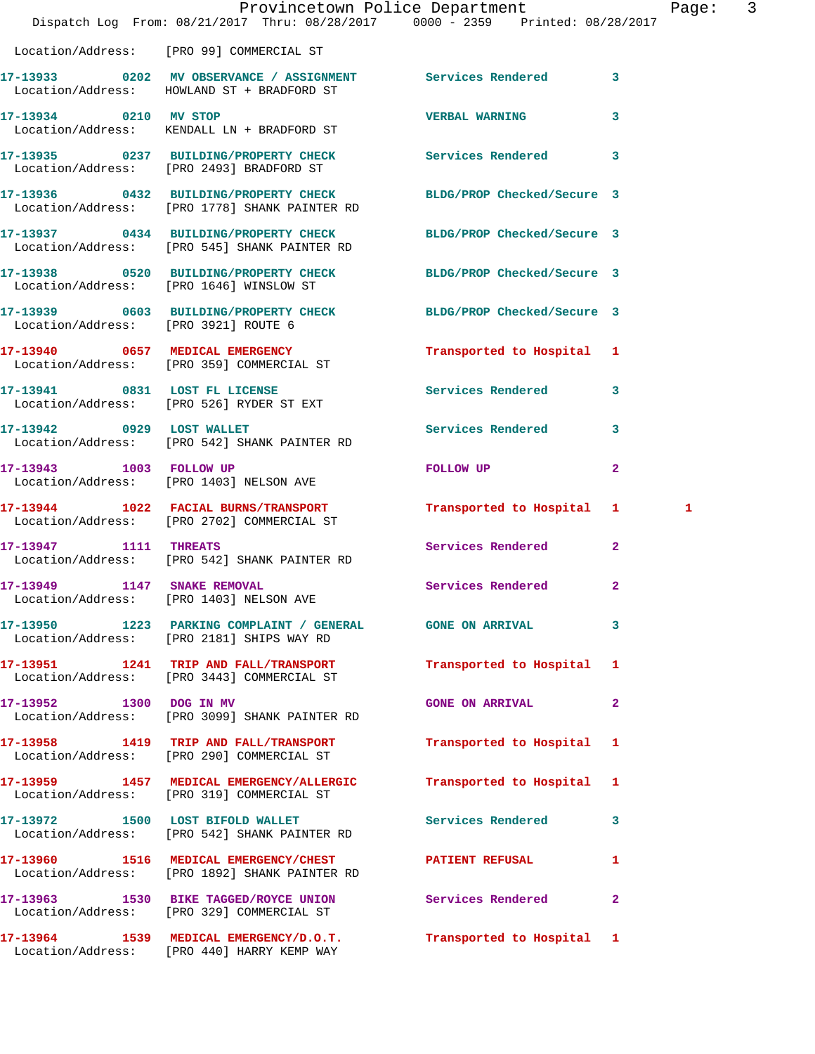| Dispatch Log From: 08/21/2017 Thru: 08/28/2017 0000 - 2359 Printed: 08/28/2017                                   | Provincetown Police Department |                | Page:        | $\overline{\mathbf{3}}$ |
|------------------------------------------------------------------------------------------------------------------|--------------------------------|----------------|--------------|-------------------------|
| Location/Address: [PRO 99] COMMERCIAL ST                                                                         |                                |                |              |                         |
| 17-13933 0202 MV OBSERVANCE / ASSIGNMENT Services Rendered 3<br>Location/Address: HOWLAND ST + BRADFORD ST       |                                |                |              |                         |
| 17-13934 0210 MV STOP<br>Location/Address: KENDALL LN + BRADFORD ST                                              | <b>VERBAL WARNING</b>          | $\mathbf{3}$   |              |                         |
| 17-13935 0237 BUILDING/PROPERTY CHECK Services Rendered 3<br>Location/Address: [PRO 2493] BRADFORD ST            |                                |                |              |                         |
| 17-13936 0432 BUILDING/PROPERTY CHECK<br>Location/Address: [PRO 1778] SHANK PAINTER RD                           | BLDG/PROP Checked/Secure 3     |                |              |                         |
| 17-13937 0434 BUILDING/PROPERTY CHECK BLDG/PROP Checked/Secure 3<br>Location/Address: [PRO 545] SHANK PAINTER RD |                                |                |              |                         |
| 17-13938 0520 BUILDING/PROPERTY CHECK BLDG/PROP Checked/Secure 3<br>Location/Address: [PRO 1646] WINSLOW ST      |                                |                |              |                         |
| 17-13939 0603 BUILDING/PROPERTY CHECK BLDG/PROP Checked/Secure 3<br>Location/Address: [PRO 3921] ROUTE 6         |                                |                |              |                         |
| 17-13940 0657 MEDICAL EMERGENCY<br>Location/Address: [PRO 359] COMMERCIAL ST                                     | Transported to Hospital 1      |                |              |                         |
| 17-13941 0831 LOST FL LICENSE<br>Location/Address: [PRO 526] RYDER ST EXT                                        | Services Rendered 3            |                |              |                         |
| 17-13942 0929 LOST WALLET<br>Location/Address: [PRO 542] SHANK PAINTER RD                                        | Services Rendered 3            |                |              |                         |
| 17-13943 1003 FOLLOW UP<br>Location/Address: [PRO 1403] NELSON AVE                                               | FOLLOW UP                      | $\overline{2}$ |              |                         |
| 17-13944 1022 FACIAL BURNS/TRANSPORT Transported to Hospital 1<br>Location/Address: [PRO 2702] COMMERCIAL ST     |                                |                | $\mathbf{1}$ |                         |
| 17-13947 1111 THREATS<br>Location/Address: [PRO 542] SHANK PAINTER RD                                            | Services Rendered 2            |                |              |                         |
| 17-13949 1147 SNAKE REMOVAL<br>Location/Address: [PRO 1403] NELSON AVE                                           | Services Rendered 2            |                |              |                         |
| 17-13950 1223 PARKING COMPLAINT / GENERAL GONE ON ARRIVAL 3<br>Location/Address: [PRO 2181] SHIPS WAY RD         |                                |                |              |                         |
| 17-13951 1241 TRIP AND FALL/TRANSPORT Transported to Hospital 1<br>Location/Address: [PRO 3443] COMMERCIAL ST    |                                |                |              |                         |
| 17-13952 1300 DOG IN MV<br>Location/Address: [PRO 3099] SHANK PAINTER RD                                         | <b>GONE ON ARRIVAL</b>         | $\mathbf{2}$   |              |                         |
| 17-13958 1419 TRIP AND FALL/TRANSPORT Transported to Hospital 1<br>Location/Address: [PRO 290] COMMERCIAL ST     |                                |                |              |                         |
| 17-13959 1457 MEDICAL EMERGENCY/ALLERGIC Transported to Hospital 1<br>Location/Address: [PRO 319] COMMERCIAL ST  |                                |                |              |                         |
| 17-13972 1500 LOST BIFOLD WALLET Services Rendered 3<br>Location/Address: [PRO 542] SHANK PAINTER RD             |                                |                |              |                         |
| 17-13960 1516 MEDICAL EMERGENCY/CHEST PATIENT REFUSAL<br>Location/Address: [PRO 1892] SHANK PAINTER RD           |                                | $\mathbf{1}$   |              |                         |
| 17-13963 1530 BIKE TAGGED/ROYCE UNION Services Rendered 2<br>Location/Address: [PRO 329] COMMERCIAL ST           |                                |                |              |                         |
| 17-13964 1539 MEDICAL EMERGENCY/D.O.T. Transported to Hospital 1                                                 |                                |                |              |                         |

Location/Address: [PRO 440] HARRY KEMP WAY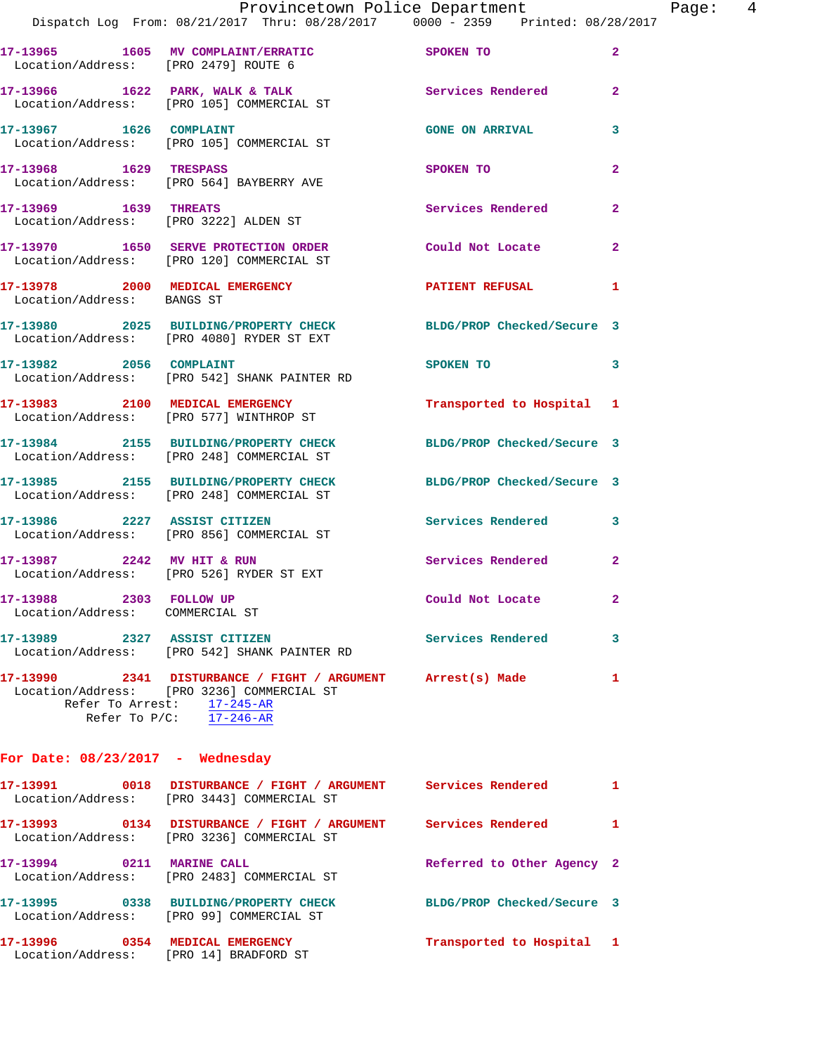|                                      | Provincetown Police Department                                                                                |                           |                | Page: 4 |  |
|--------------------------------------|---------------------------------------------------------------------------------------------------------------|---------------------------|----------------|---------|--|
|                                      | Dispatch Log From: 08/21/2017 Thru: 08/28/2017 0000 - 2359 Printed: 08/28/2017                                |                           |                |         |  |
|                                      | 17-13965 1605 MV COMPLAINT/ERRATIC SPOKEN TO<br>Location/Address: [PRO 2479] ROUTE 6                          |                           | $\mathbf{2}$   |         |  |
|                                      | 17-13966 1622 PARK, WALK & TALK Services Rendered Election/Address: [PRO 105] COMMERCIAL ST                   |                           | $\mathbf{2}$   |         |  |
|                                      | 17-13967 1626 COMPLAINT<br>Location/Address: [PRO 105] COMMERCIAL ST                                          | <b>GONE ON ARRIVAL</b>    | 3              |         |  |
|                                      | 17-13968 1629 TRESPASS<br>Location/Address: [PRO 564] BAYBERRY AVE                                            | SPOKEN TO                 | $\mathbf{2}$   |         |  |
|                                      | 17-13969 1639 THREATS<br>Location/Address: [PRO 3222] ALDEN ST                                                | Services Rendered         | $\overline{2}$ |         |  |
|                                      | 17-13970 1650 SERVE PROTECTION ORDER<br>Location/Address: [PRO 120] COMMERCIAL ST                             | Could Not Locate          | $\overline{2}$ |         |  |
| Location/Address: BANGS ST           | 17-13978 2000 MEDICAL EMERGENCY <b>NEW PATIENT REFUSAL</b>                                                    |                           | 1              |         |  |
|                                      | 17-13980 2025 BUILDING/PROPERTY CHECK BLDG/PROP Checked/Secure 3<br>Location/Address: [PRO 4080] RYDER ST EXT |                           |                |         |  |
|                                      | 17-13982 2056 COMPLAINT<br>Location/Address: [PRO 542] SHANK PAINTER RD                                       | SPOKEN TO                 | 3              |         |  |
|                                      | 17-13983 2100 MEDICAL EMERGENCY<br>Location/Address: [PRO 577] WINTHROP ST                                    | Transported to Hospital 1 |                |         |  |
|                                      | 17-13984 2155 BUILDING/PROPERTY CHECK BLDG/PROP Checked/Secure 3<br>Location/Address: [PRO 248] COMMERCIAL ST |                           |                |         |  |
|                                      | 17-13985 2155 BUILDING/PROPERTY CHECK BLDG/PROP Checked/Secure 3<br>Location/Address: [PRO 248] COMMERCIAL ST |                           |                |         |  |
|                                      |                                                                                                               | Services Rendered 3       |                |         |  |
|                                      | 17-13987 2242 MV HIT & RUN<br>Location/Address: [PRO 526] RYDER ST EXT                                        | Services Rendered         | $\overline{a}$ |         |  |
| 17-13988<br>Location/Address:        | 2303 FOLLOW UP<br>COMMERCIAL ST                                                                               | Could Not Locate          | 2              |         |  |
| 17-13989<br>Location/Address:        | 2327 ASSIST CITIZEN<br>[PRO 542] SHANK PAINTER RD                                                             | Services Rendered         | 3              |         |  |
| Refer To Arrest:<br>Refer To $P/C$ : | Location/Address: [PRO 3236] COMMERCIAL ST<br>17-245-AR<br>$17 - 246 - AR$                                    | Arrest(s) Made            | 1              |         |  |

## **For Date: 08/23/2017 - Wednesday**

| 17–13991                      | 0018 | DISTURBANCE / FIGHT / ARGUMENT<br>Location/Address: [PRO 3443] COMMERCIAL ST | Services Rendered          |  |
|-------------------------------|------|------------------------------------------------------------------------------|----------------------------|--|
| 17–13993                      | 0134 | DISTURBANCE / FIGHT / ARGUMENT<br>Location/Address: [PRO 3236] COMMERCIAL ST | Services Rendered          |  |
| 17-13994                      | 0211 | <b>MARINE CALL</b><br>Location/Address: [PRO 2483] COMMERCIAL ST             | Referred to Other Agency 2 |  |
| 17–13995                      | 0338 | <b>BUILDING/PROPERTY CHECK</b><br>Location/Address: [PRO 99] COMMERCIAL ST   | BLDG/PROP Checked/Secure 3 |  |
| 17-13996<br>Location/Address: | 0354 | MEDICAL EMERGENCY<br>[PRO 14] BRADFORD ST                                    | Transported to Hospital 1  |  |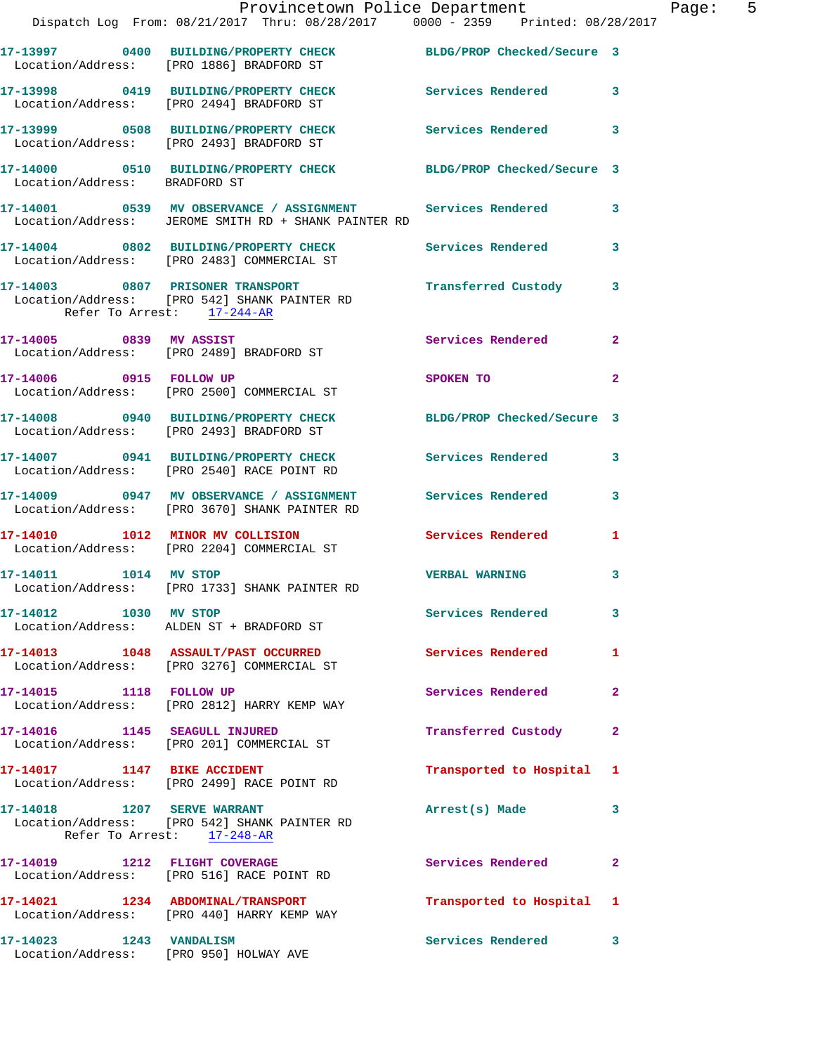|                                  | Provincetown Police Department<br>Dispatch Log From: 08/21/2017 Thru: 08/28/2017 0000 - 2359 Printed: 08/28/2017   |                          |                |
|----------------------------------|--------------------------------------------------------------------------------------------------------------------|--------------------------|----------------|
|                                  | 17-13997 0400 BUILDING/PROPERTY CHECK BLDG/PROP Checked/Secure 3<br>Location/Address: [PRO 1886] BRADFORD ST       |                          |                |
|                                  | 17-13998 0419 BUILDING/PROPERTY CHECK Services Rendered<br>Location/Address: [PRO 2494] BRADFORD ST                |                          | 3              |
|                                  | 17-13999 0508 BUILDING/PROPERTY CHECK Services Rendered<br>Location/Address: [PRO 2493] BRADFORD ST                |                          | 3              |
| Location/Address: BRADFORD ST    | 17-14000 0510 BUILDING/PROPERTY CHECK BLDG/PROP Checked/Secure 3                                                   |                          |                |
|                                  | 17-14001 0539 MV OBSERVANCE / ASSIGNMENT Services Rendered<br>Location/Address: JEROME SMITH RD + SHANK PAINTER RD |                          | 3              |
|                                  | 17-14004 0802 BUILDING/PROPERTY CHECK Services Rendered<br>Location/Address: [PRO 2483] COMMERCIAL ST              |                          | 3              |
| Refer To Arrest: 17-244-AR       | 17-14003 0807 PRISONER TRANSPORT<br>Location/Address: [PRO 542] SHANK PAINTER RD                                   | Transferred Custody      | 3              |
|                                  | 17-14005 0839 MV ASSIST<br>Location/Address: [PRO 2489] BRADFORD ST                                                | Services Rendered        | $\mathbf{2}$   |
| 17-14006 0915 FOLLOW UP          | Location/Address: [PRO 2500] COMMERCIAL ST                                                                         | SPOKEN TO                | $\overline{a}$ |
|                                  | 17-14008 0940 BUILDING/PROPERTY CHECK BLDG/PROP Checked/Secure 3<br>Location/Address: [PRO 2493] BRADFORD ST       |                          |                |
|                                  | 17-14007 0941 BUILDING/PROPERTY CHECK Services Rendered<br>Location/Address: [PRO 2540] RACE POINT RD              |                          | 3              |
|                                  | 17-14009 0947 MV OBSERVANCE / ASSIGNMENT<br>Location/Address: [PRO 3670] SHANK PAINTER RD                          | Services Rendered        | 3              |
| 17-14010 1012 MINOR MV COLLISION | Location/Address: [PRO 2204] COMMERCIAL ST                                                                         | Services Rendered        | 1              |
| 17-14011 1014 MV STOP            | Location/Address: [PRO 1733] SHANK PAINTER RD                                                                      | <b>VERBAL WARNING</b>    | 3              |
| 17-14012 1030 MV STOP            | Location/Address: ALDEN ST + BRADFORD ST                                                                           | Services Rendered        | 3              |
|                                  | 17-14013 1048 ASSAULT/PAST OCCURRED<br>Location/Address: [PRO 3276] COMMERCIAL ST                                  | <b>Services Rendered</b> | 1              |
| 17-14015 1118 FOLLOW UP          | Location/Address: [PRO 2812] HARRY KEMP WAY                                                                        | Services Rendered        | 2              |
|                                  | 17-14016 1145 SEAGULL INJURED<br>Location/Address: [PRO 201] COMMERCIAL ST                                         | Transferred Custody      | 2              |
| 17-14017 1147 BIKE ACCIDENT      | Location/Address: [PRO 2499] RACE POINT RD                                                                         | Transported to Hospital  | 1              |
|                                  | Location/Address: [PRO 542] SHANK PAINTER RD<br>Refer To Arrest: 17-248-AR                                         | Arrest(s) Made           | 3              |
| 17-14019 1212 FLIGHT COVERAGE    | Location/Address: [PRO 516] RACE POINT RD                                                                          | Services Rendered        | 2              |
|                                  | 17-14021 1234 ABDOMINAL/TRANSPORT<br>Location/Address: [PRO 440] HARRY KEMP WAY                                    | Transported to Hospital  | 1              |
| 17-14023 1243 VANDALISM          | Location/Address: [PRO 950] HOLWAY AVE                                                                             | Services Rendered        | 3              |

Page:  $5<sub>7</sub>$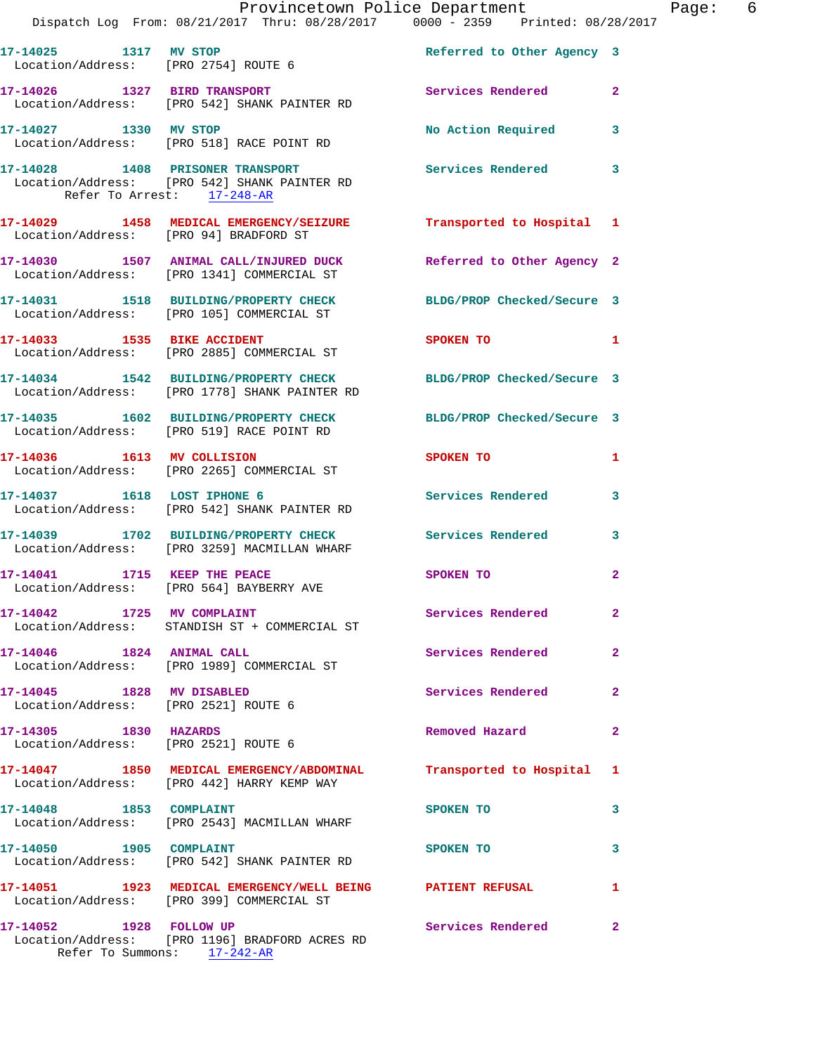|                                                               | Dispatch Log From: 08/21/2017 Thru: 08/28/2017 0000 - 2359 Printed: 08/28/2017                                    | Provincetown Police Department The Rage: 6 |                |  |
|---------------------------------------------------------------|-------------------------------------------------------------------------------------------------------------------|--------------------------------------------|----------------|--|
|                                                               | 17-14025 1317 MV STOP<br>Location/Address: [PRO 2754] ROUTE 6                                                     |                                            |                |  |
|                                                               | 17-14026 1327 BIRD TRANSPORT Services Rendered<br>Location/Address: [PRO 542] SHANK PAINTER RD                    |                                            | $\mathbf{2}$   |  |
|                                                               | 17-14027 1330 MV STOP<br>Location/Address: [PRO 518] RACE POINT RD                                                | No Action Required 3                       |                |  |
| Refer To Arrest: 17-248-AR                                    | 17-14028 1408 PRISONER TRANSPORT Services Rendered<br>Location/Address: [PRO 542] SHANK PAINTER RD                |                                            | $\mathbf{3}$   |  |
| Location/Address: [PRO 94] BRADFORD ST                        | 17-14029 1458 MEDICAL EMERGENCY/SEIZURE Transported to Hospital 1                                                 |                                            |                |  |
|                                                               | 17-14030 1507 ANIMAL CALL/INJURED DUCK Referred to Other Agency 2<br>Location/Address: [PRO 1341] COMMERCIAL ST   |                                            |                |  |
|                                                               | 17-14031 1518 BUILDING/PROPERTY CHECK BLDG/PROP Checked/Secure 3<br>Location/Address: [PRO 105] COMMERCIAL ST     |                                            |                |  |
|                                                               | 17-14033 1535 BIKE ACCIDENT<br>Location/Address: [PRO 2885] COMMERCIAL ST                                         | SPOKEN TO                                  | 1              |  |
|                                                               | 17-14034 1542 BUILDING/PROPERTY CHECK BLDG/PROP Checked/Secure 3<br>Location/Address: [PRO 1778] SHANK PAINTER RD |                                            |                |  |
|                                                               | 17-14035 1602 BUILDING/PROPERTY CHECK BLDG/PROP Checked/Secure 3<br>Location/Address: [PRO 519] RACE POINT RD     |                                            |                |  |
|                                                               | 17-14036 1613 MV COLLISION<br>Location/Address: [PRO 2265] COMMERCIAL ST                                          | SPOKEN TO AND TO A THE SPOKEN TO           | 1              |  |
|                                                               | 17-14037 1618 LOST IPHONE 6<br>Location/Address: [PRO 542] SHANK PAINTER RD                                       | Services Rendered                          | $\mathbf{3}$   |  |
|                                                               | 17-14039 1702 BUILDING/PROPERTY CHECK Services Rendered<br>Location/Address: [PRO 3259] MACMILLAN WHARF           |                                            | 3              |  |
|                                                               | 17-14041 1715 KEEP THE PEACE<br>Location/Address: [PRO 564] BAYBERRY AVE                                          | SPOKEN TO                                  | 2              |  |
| 17-14042 1725 MV COMPLAINT                                    | Location/Address: STANDISH ST + COMMERCIAL ST                                                                     | <b>Services Rendered</b>                   | $\mathbf{2}$   |  |
|                                                               | Location/Address: [PRO 1989] COMMERCIAL ST                                                                        | Services Rendered                          | $\mathbf{2}$   |  |
| 17-14045 1828 MV DISABLED                                     | Location/Address: [PRO 2521] ROUTE 6                                                                              | <b>Services Rendered</b>                   | $\mathbf{2}$   |  |
| 17-14305 1830 HAZARDS<br>Location/Address: [PRO 2521] ROUTE 6 |                                                                                                                   | Removed Hazard                             | 2              |  |
|                                                               | 17-14047 1850 MEDICAL EMERGENCY/ABDOMINAL Transported to Hospital 1<br>Location/Address: [PRO 442] HARRY KEMP WAY |                                            |                |  |
|                                                               | 17-14048 1853 COMPLAINT<br>Location/Address: [PRO 2543] MACMILLAN WHARF                                           | SPOKEN TO                                  | 3              |  |
| 17-14050 1905 COMPLAINT                                       | Location/Address: [PRO 542] SHANK PAINTER RD                                                                      | SPOKEN TO                                  | 3              |  |
|                                                               | 17-14051 1923 MEDICAL EMERGENCY/WELL BEING PATIENT REFUSAL<br>Location/Address: [PRO 399] COMMERCIAL ST           |                                            | 1              |  |
| 17-14052 1928 FOLLOW UP                                       | Location/Address: [PRO 1196] BRADFORD ACRES RD<br>Refer To Summons: 17-242-AR                                     | Services Rendered                          | $\overline{2}$ |  |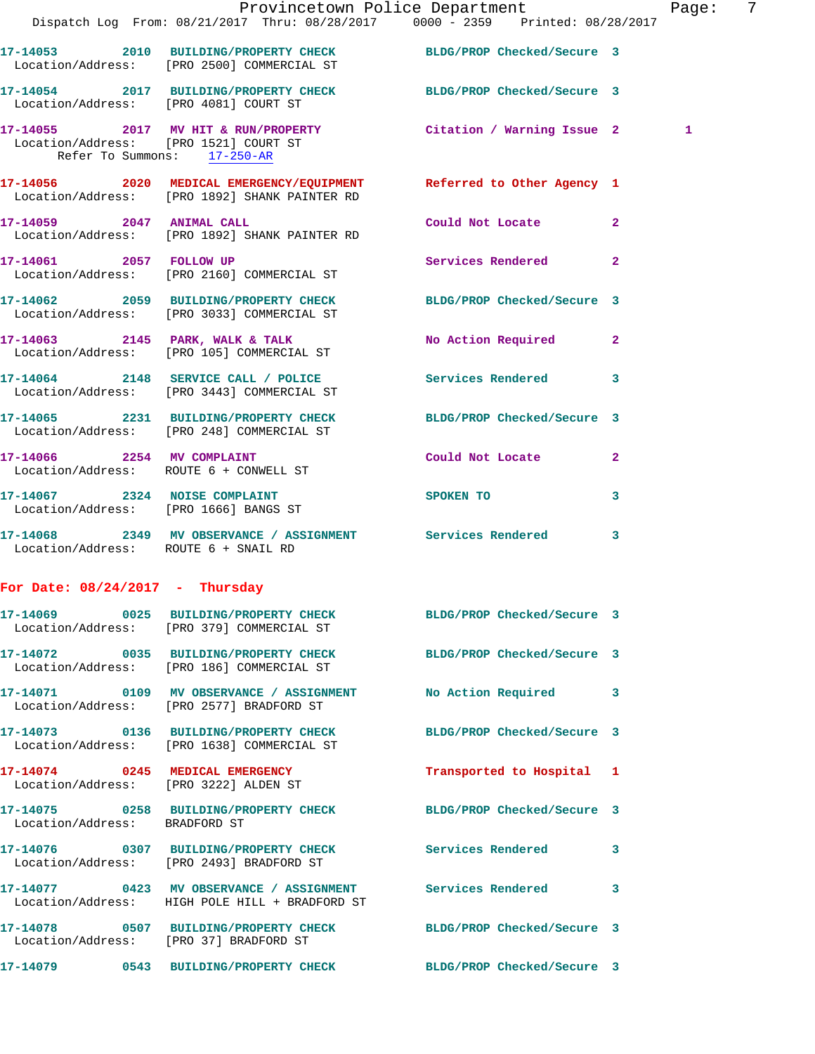|                                      |                                                                                                                                        | Provincetown Police Department | Page: | 7 |
|--------------------------------------|----------------------------------------------------------------------------------------------------------------------------------------|--------------------------------|-------|---|
|                                      | Dispatch Log From: 08/21/2017 Thru: 08/28/2017 0000 - 2359 Printed: 08/28/2017                                                         |                                |       |   |
|                                      | 17-14053 2010 BUILDING/PROPERTY CHECK BLDG/PROP Checked/Secure 3<br>Location/Address: [PRO 2500] COMMERCIAL ST                         |                                |       |   |
|                                      | 17-14054 2017 BUILDING/PROPERTY CHECK BLDG/PROP Checked/Secure 3<br>Location/Address: [PRO 4081] COURT ST                              |                                |       |   |
|                                      | 17-14055 2017 MV HIT & RUN/PROPERTY Citation / Warning Issue 2<br>Location/Address: [PRO 1521] COURT ST<br>Refer To Summons: 17-250-AR |                                | 1     |   |
|                                      | 17-14056 2020 MEDICAL EMERGENCY/EQUIPMENT Referred to Other Agency 1<br>Location/Address: [PRO 1892] SHANK PAINTER RD                  |                                |       |   |
| 17-14059 2047 ANIMAL CALL            | Location/Address: [PRO 1892] SHANK PAINTER RD                                                                                          | Could Not Locate 2             |       |   |
|                                      | 17-14061 2057 FOLLOW UP<br>Location/Address: [PRO 2160] COMMERCIAL ST                                                                  | Services Rendered 2            |       |   |
|                                      | 17-14062 2059 BUILDING/PROPERTY CHECK BLDG/PROP Checked/Secure 3<br>Location/Address: [PRO 3033] COMMERCIAL ST                         |                                |       |   |
|                                      | 17-14063 2145 PARK, WALK & TALK<br>Location/Address: [PRO 105] COMMERCIAL ST                                                           | No Action Required 2           |       |   |
|                                      | 17-14064 2148 SERVICE CALL / POLICE Services Rendered 3<br>Location/Address: [PRO 3443] COMMERCIAL ST                                  |                                |       |   |
|                                      | 17-14065 2231 BUILDING/PROPERTY CHECK BLDG/PROP Checked/Secure 3<br>Location/Address: [PRO 248] COMMERCIAL ST                          |                                |       |   |
|                                      | 17-14066 2254 MV COMPLAINT<br>Location/Address: ROUTE 6 + CONWELL ST                                                                   | Could Not Locate 2             |       |   |
|                                      | 17-14067 2324 NOISE COMPLAINT<br>Location/Address: [PRO 1666] BANGS ST                                                                 | SPOKEN TO<br>3                 |       |   |
| Location/Address: ROUTE 6 + SNAIL RD | 17-14068 2349 MV OBSERVANCE / ASSIGNMENT Services Rendered 3                                                                           |                                |       |   |
| For Date: $08/24/2017$ - Thursday    |                                                                                                                                        |                                |       |   |
|                                      | 17-14069 0025 BUILDING/PROPERTY CHECK BLDG/PROP Checked/Secure 3<br>Location/Address: [PRO 379] COMMERCIAL ST                          |                                |       |   |
|                                      | 17-14072 0035 BUILDING/PROPERTY CHECK BLDG/PROP Checked/Secure 3<br>Location/Address: [PRO 186] COMMERCIAL ST                          |                                |       |   |
|                                      | 17-14071 0109 MV OBSERVANCE / ASSIGNMENT<br>Location/Address: [PRO 2577] BRADFORD ST                                                   | No Action Required 3           |       |   |
|                                      | 17-14073 0136 BUILDING/PROPERTY CHECK<br>Location/Address: [PRO 1638] COMMERCIAL ST                                                    | BLDG/PROP Checked/Secure 3     |       |   |
|                                      | 17-14074 0245 MEDICAL EMERGENCY<br>Location/Address: [PRO 3222] ALDEN ST                                                               | Transported to Hospital 1      |       |   |
| Location/Address: BRADFORD ST        | 17-14075 0258 BUILDING/PROPERTY CHECK BLDG/PROP Checked/Secure 3                                                                       |                                |       |   |
|                                      | 17-14076 0307 BUILDING/PROPERTY CHECK Services Rendered 3<br>Location/Address: [PRO 2493] BRADFORD ST                                  |                                |       |   |
|                                      | 17-14077 0423 MV OBSERVANCE / ASSIGNMENT Services Rendered<br>Location/Address: HIGH POLE HILL + BRADFORD ST                           | 3                              |       |   |
|                                      | 17-14078 0507 BUILDING/PROPERTY CHECK BLDG/PROP Checked/Secure 3<br>Location/Address: [PRO 37] BRADFORD ST                             |                                |       |   |
|                                      | 17-14079 0543 BUILDING/PROPERTY CHECK BLDG/PROP Checked/Secure 3                                                                       |                                |       |   |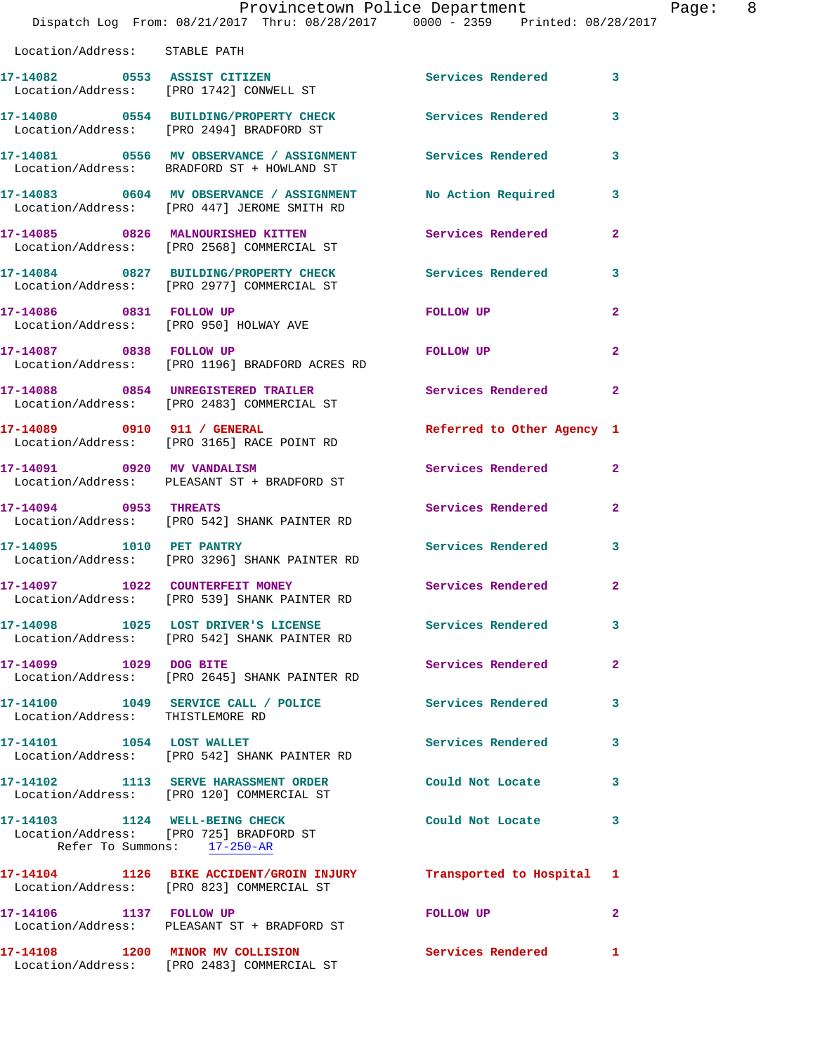|                                  | Provincetown Police Department<br>Dispatch Log From: 08/21/2017 Thru: 08/28/2017 0000 - 2359 Printed: 08/28/2017 |                            |                         |
|----------------------------------|------------------------------------------------------------------------------------------------------------------|----------------------------|-------------------------|
| Location/Address: STABLE PATH    |                                                                                                                  |                            |                         |
|                                  | 17-14082 0553 ASSIST CITIZEN<br>Location/Address: [PRO 1742] CONWELL ST                                          | Services Rendered          | 3                       |
|                                  | 17-14080 0554 BUILDING/PROPERTY CHECK<br>Location/Address: [PRO 2494] BRADFORD ST                                | Services Rendered          | 3                       |
|                                  | 17-14081 0556 MV OBSERVANCE / ASSIGNMENT Services Rendered<br>Location/Address: BRADFORD ST + HOWLAND ST         |                            | 3                       |
|                                  | 17-14083 0604 MV OBSERVANCE / ASSIGNMENT No Action Required<br>Location/Address: [PRO 447] JEROME SMITH RD       |                            | 3                       |
|                                  | 17-14085 0826 MALNOURISHED KITTEN<br>Location/Address: [PRO 2568] COMMERCIAL ST                                  | Services Rendered          | $\overline{a}$          |
|                                  | 17-14084 0827 BUILDING/PROPERTY CHECK Services Rendered<br>Location/Address: [PRO 2977] COMMERCIAL ST            |                            | 3                       |
| 17-14086 0831 FOLLOW UP          | Location/Address: [PRO 950] HOLWAY AVE                                                                           | FOLLOW UP                  | $\overline{a}$          |
| 17-14087 0838 FOLLOW UP          | Location/Address: [PRO 1196] BRADFORD ACRES RD                                                                   | FOLLOW UP                  | $\overline{2}$          |
|                                  | 17-14088 0854 UNREGISTERED TRAILER<br>Location/Address: [PRO 2483] COMMERCIAL ST                                 | Services Rendered          | $\overline{2}$          |
|                                  | 17-14089 0910 911 / GENERAL<br>Location/Address: [PRO 3165] RACE POINT RD                                        | Referred to Other Agency 1 |                         |
|                                  | 17-14091 0920 MV VANDALISM<br>Location/Address: PLEASANT ST + BRADFORD ST                                        | Services Rendered          | $\overline{2}$          |
| 17-14094 0953 THREATS            | Location/Address: [PRO 542] SHANK PAINTER RD                                                                     | Services Rendered          | $\mathbf{2}$            |
| 17-14095 1010 PET PANTRY         | Location/Address: [PRO 3296] SHANK PAINTER RD                                                                    | Services Rendered          | $\overline{\mathbf{3}}$ |
|                                  | 17-14097    1022    COUNTERFEIT MONEY<br>Location/Address: [PRO 539] SHANK PAINTER RD                            | Services Rendered          |                         |
|                                  | 17-14098 1025 LOST DRIVER'S LICENSE Services Rendered<br>Location/Address: [PRO 542] SHANK PAINTER RD            |                            | 3                       |
| 17-14099 1029 DOG BITE           | Location/Address: [PRO 2645] SHANK PAINTER RD                                                                    | Services Rendered          | $\mathbf{2}$            |
| Location/Address: THISTLEMORE RD | 17-14100 1049 SERVICE CALL / POLICE Services Rendered                                                            |                            | 3                       |
| 17-14101 1054 LOST WALLET        | Location/Address: [PRO 542] SHANK PAINTER RD                                                                     | Services Rendered          | 3                       |
|                                  | 17-14102 1113 SERVE HARASSMENT ORDER<br>Location/Address: [PRO 120] COMMERCIAL ST                                | Could Not Locate           | 3                       |
| Refer To Summons: 17-250-AR      | 17-14103 1124 WELL-BEING CHECK<br>Location/Address: [PRO 725] BRADFORD ST                                        | Could Not Locate           | 3                       |
|                                  | 17-14104 1126 BIKE ACCIDENT/GROIN INJURY Transported to Hospital 1<br>Location/Address: [PRO 823] COMMERCIAL ST  |                            |                         |
| 17-14106 1137 FOLLOW UP          | Location/Address: PLEASANT ST + BRADFORD ST                                                                      | FOLLOW UP                  | $\mathbf{2}$            |
|                                  | 17-14108 1200 MINOR MV COLLISION<br>Location/Address: [PRO 2483] COMMERCIAL ST                                   | <b>Services Rendered</b>   | 1                       |

Page: 8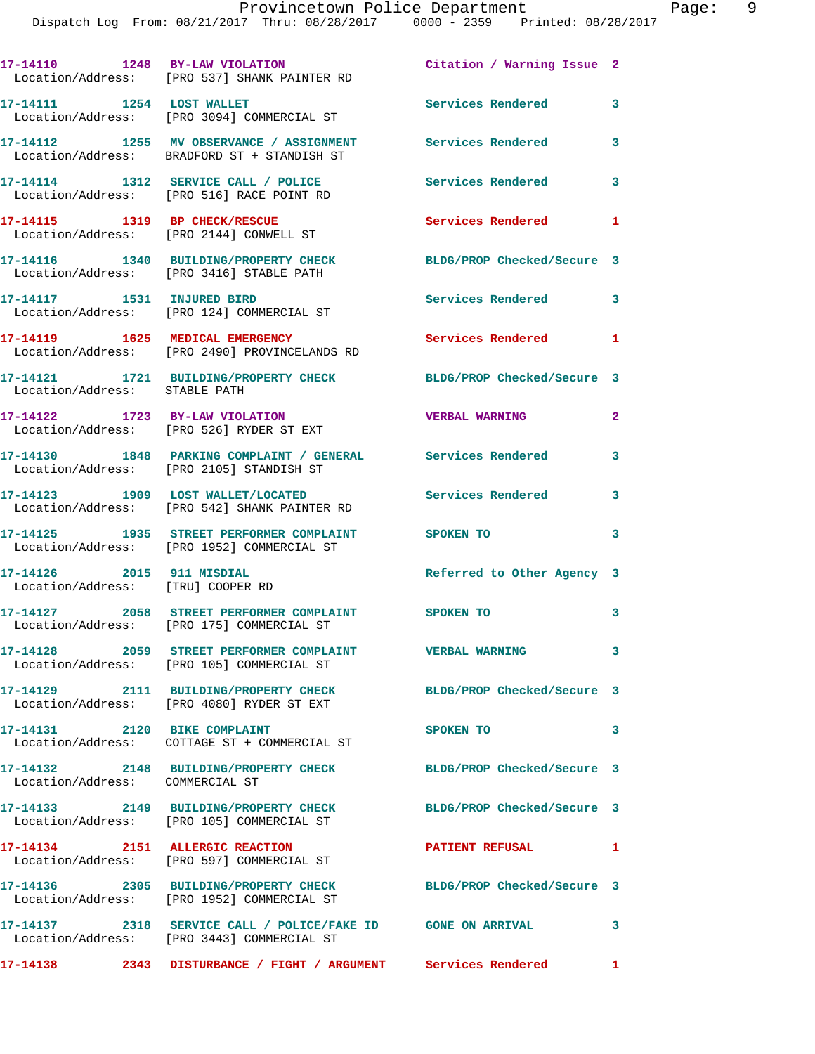**17-14110 1248 BY-LAW VIOLATION Citation / Warning Issue 2**  Location/Address: [PRO 537] SHANK PAINTER RD **17-14111 1254 LOST WALLET Services Rendered 3**  Location/Address: [PRO 3094] COMMERCIAL ST **17-14112 1255 MV OBSERVANCE / ASSIGNMENT Services Rendered 3**  Location/Address: BRADFORD ST + STANDISH ST **17-14114 1312 SERVICE CALL / POLICE Services Rendered 3**  Location/Address: [PRO 516] RACE POINT RD **17-14115 1319 BP CHECK/RESCUE Services Rendered 1**  Location/Address: [PRO 2144] CONWELL ST **17-14116 1340 BUILDING/PROPERTY CHECK BLDG/PROP Checked/Secure 3**  Location/Address: [PRO 3416] STABLE PATH **17-14117 1531 INJURED BIRD Services Rendered 3**  Location/Address: [PRO 124] COMMERCIAL ST **17-14119 1625 MEDICAL EMERGENCY Services Rendered 1**  Location/Address: [PRO 2490] PROVINCELANDS RD **17-14121 1721 BUILDING/PROPERTY CHECK BLDG/PROP Checked/Secure 3**  Location/Address: STABLE PATH **17-14122 1723 BY-LAW VIOLATION VERBAL WARNING 2**  Location/Address: [PRO 526] RYDER ST EXT **17-14130 1848 PARKING COMPLAINT / GENERAL Services Rendered 3**  Location/Address: [PRO 2105] STANDISH ST **17-14123 1909 LOST WALLET/LOCATED Services Rendered 3**  Location/Address: [PRO 542] SHANK PAINTER RD **17-14125 1935 STREET PERFORMER COMPLAINT SPOKEN TO 3**  Location/Address: [PRO 1952] COMMERCIAL ST **17-14126 2015 911 MISDIAL Referred to Other Agency 3**  Location/Address: [TRU] COOPER RD **17-14127 2058 STREET PERFORMER COMPLAINT SPOKEN TO 3**  Location/Address: [PRO 175] COMMERCIAL ST **17-14128 2059 STREET PERFORMER COMPLAINT VERBAL WARNING 3**  Location/Address: [PRO 105] COMMERCIAL ST **17-14129 2111 BUILDING/PROPERTY CHECK BLDG/PROP Checked/Secure 3**  Location/Address: [PRO 4080] RYDER ST EXT **17-14131 2120 BIKE COMPLAINT SPOKEN TO 3**  Location/Address: COTTAGE ST + COMMERCIAL ST **17-14132 2148 BUILDING/PROPERTY CHECK BLDG/PROP Checked/Secure 3**  Location/Address: COMMERCIAL ST **17-14133 2149 BUILDING/PROPERTY CHECK BLDG/PROP Checked/Secure 3**  Location/Address: [PRO 105] COMMERCIAL ST **17-14134 2151 ALLERGIC REACTION PATIENT REFUSAL 1**  Location/Address: [PRO 597] COMMERCIAL ST **17-14136 2305 BUILDING/PROPERTY CHECK BLDG/PROP Checked/Secure 3**  Location/Address: [PRO 1952] COMMERCIAL ST **17-14137 2318 SERVICE CALL / POLICE/FAKE ID GONE ON ARRIVAL 3**  Location/Address: [PRO 3443] COMMERCIAL ST **17-14138 2343 DISTURBANCE / FIGHT / ARGUMENT Services Rendered 1**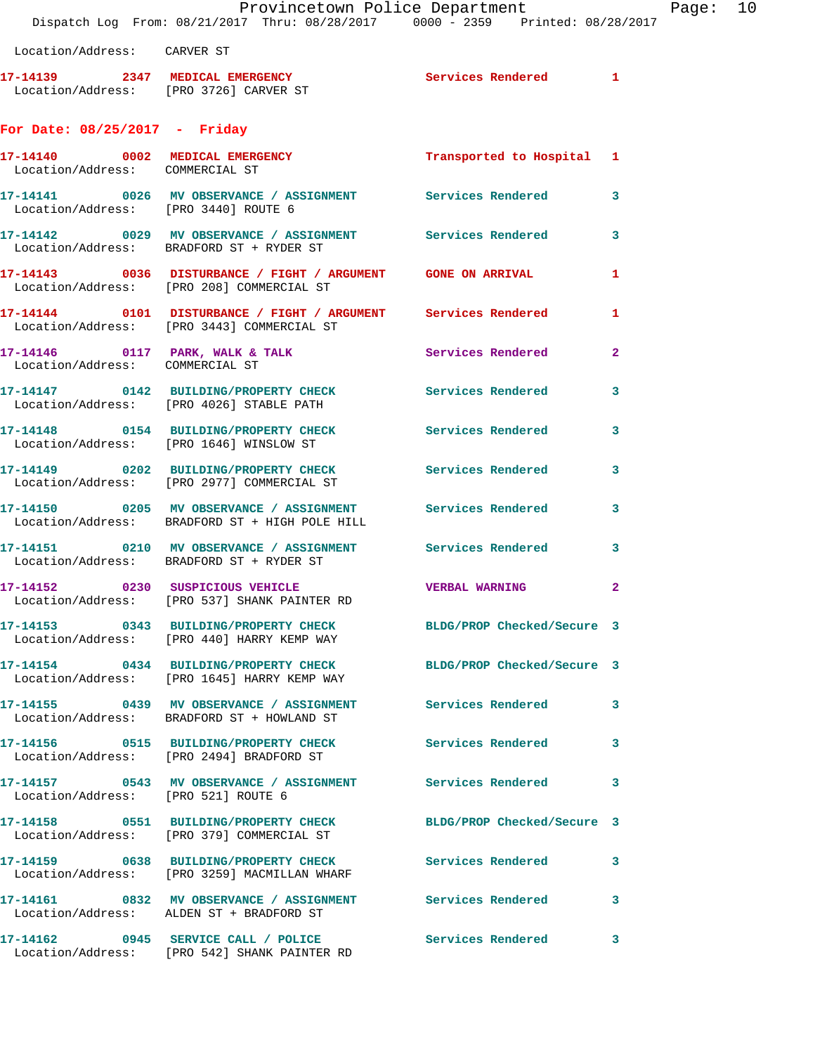Provincetown Police Department Fage: 10 Dispatch Log From: 08/21/2017 Thru: 08/28/2017 0000 - 2359 Printed: 08/28/2017 Location/Address: CARVER ST **17-14139 2347 MEDICAL EMERGENCY Services Rendered 1**  Location/Address: [PRO 3726] CARVER ST **For Date: 08/25/2017 - Friday 17-14140 0002 MEDICAL EMERGENCY Transported to Hospital 1**  Location/Address: COMMERCIAL ST **17-14141 0026 MV OBSERVANCE / ASSIGNMENT Services Rendered 3**  Location/Address: [PRO 3440] ROUTE 6 **17-14142 0029 MV OBSERVANCE / ASSIGNMENT Services Rendered 3**  Location/Address: BRADFORD ST + RYDER ST 17-14143 0036 DISTURBANCE / FIGHT / ARGUMENT GONE ON ARRIVAL 1 Location/Address: [PRO 208] COMMERCIAL ST **17-14144 0101 DISTURBANCE / FIGHT / ARGUMENT Services Rendered 1**  Location/Address: [PRO 3443] COMMERCIAL ST **17-14146 0117 PARK, WALK & TALK Services Rendered 2**  Location/Address: COMMERCIAL ST **17-14147 0142 BUILDING/PROPERTY CHECK Services Rendered 3**  Location/Address: [PRO 4026] STABLE PATH **17-14148 0154 BUILDING/PROPERTY CHECK Services Rendered 3**  Location/Address: [PRO 1646] WINSLOW ST **17-14149 0202 BUILDING/PROPERTY CHECK Services Rendered 3**  Location/Address: [PRO 2977] COMMERCIAL ST **17-14150 0205 MV OBSERVANCE / ASSIGNMENT Services Rendered 3**  Location/Address: BRADFORD ST + HIGH POLE HILL **17-14151 0210 MV OBSERVANCE / ASSIGNMENT Services Rendered 3**  Location/Address: BRADFORD ST + RYDER ST **17-14152 0230 SUSPICIOUS VEHICLE VERBAL WARNING 2**  Location/Address: [PRO 537] SHANK PAINTER RD **17-14153 0343 BUILDING/PROPERTY CHECK BLDG/PROP Checked/Secure 3**  Location/Address: [PRO 440] HARRY KEMP WAY **17-14154 0434 BUILDING/PROPERTY CHECK BLDG/PROP Checked/Secure 3**  Location/Address: [PRO 1645] HARRY KEMP WAY

**17-14155 0439 MV OBSERVANCE / ASSIGNMENT Services Rendered 3**  Location/Address: BRADFORD ST + HOWLAND ST **17-14156 0515 BUILDING/PROPERTY CHECK Services Rendered 3**  Location/Address: [PRO 2494] BRADFORD ST

**17-14157 0543 MV OBSERVANCE / ASSIGNMENT Services Rendered 3** 

Location/Address: [PRO 3259] MACMILLAN WHARF

Location/Address: [PRO 521] ROUTE 6

Location/Address: [PRO 379] COMMERCIAL ST

Location/Address: ALDEN ST + BRADFORD ST

**17-14162 0945 SERVICE CALL / POLICE Services Rendered 3**  Location/Address: [PRO 542] SHANK PAINTER RD

**17-14158 0551 BUILDING/PROPERTY CHECK BLDG/PROP Checked/Secure 3** 

**17-14159 0638 BUILDING/PROPERTY CHECK Services Rendered 3** 

**17-14161 0832 MV OBSERVANCE / ASSIGNMENT Services Rendered 3**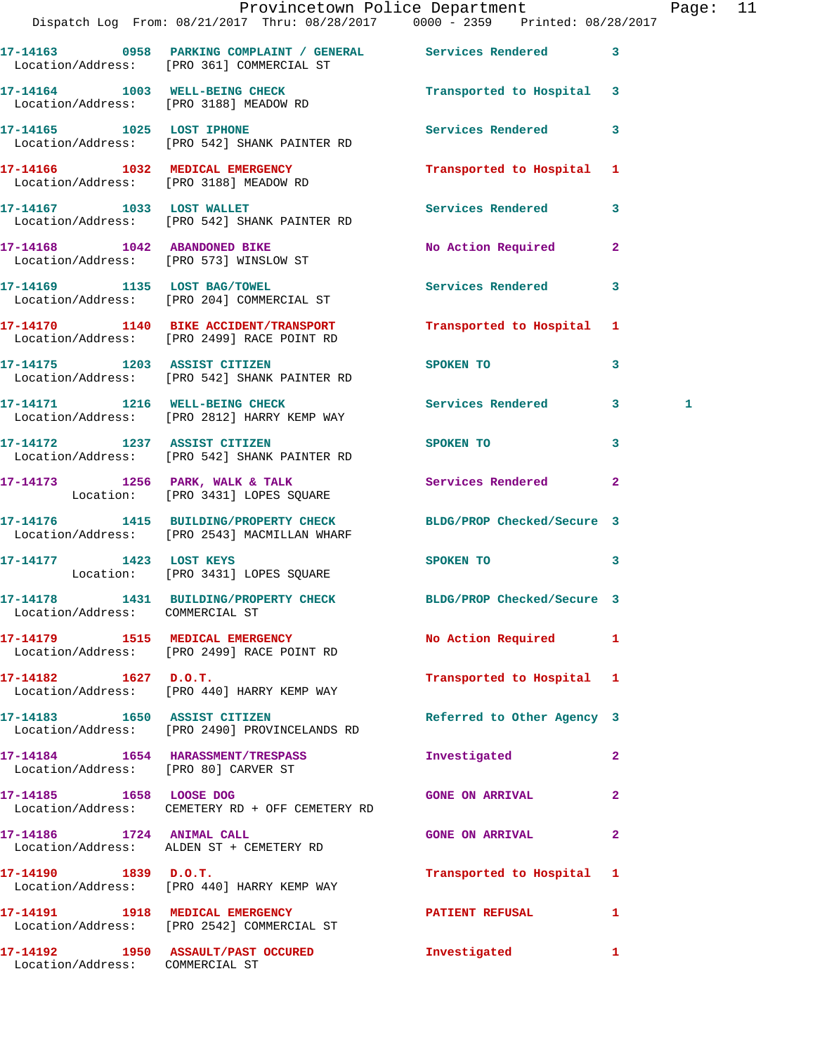|                                 | Provincetown Police Department<br>Dispatch Log From: 08/21/2017 Thru: 08/28/2017 0000 - 2359 Printed: 08/28/2017 |                                                                                                                                                                                                                                |              | Page: 11 |  |
|---------------------------------|------------------------------------------------------------------------------------------------------------------|--------------------------------------------------------------------------------------------------------------------------------------------------------------------------------------------------------------------------------|--------------|----------|--|
|                                 | 17-14163 0958 PARKING COMPLAINT / GENERAL Services Rendered 3<br>Location/Address: [PRO 361] COMMERCIAL ST       |                                                                                                                                                                                                                                |              |          |  |
|                                 | 17-14164 1003 WELL-BEING CHECK Transported to Hospital 3<br>Location/Address: [PRO 3188] MEADOW RD               |                                                                                                                                                                                                                                |              |          |  |
|                                 | 17-14165 1025 LOST IPHONE<br>Location/Address: [PRO 542] SHANK PAINTER RD                                        | Services Rendered 3                                                                                                                                                                                                            |              |          |  |
|                                 | 17-14166 1032 MEDICAL EMERGENCY<br>Location/Address: [PRO 3188] MEADOW RD                                        | Transported to Hospital 1                                                                                                                                                                                                      |              |          |  |
|                                 | 17-14167 1033 LOST WALLET<br>Location/Address: [PRO 542] SHANK PAINTER RD                                        | Services Rendered 3                                                                                                                                                                                                            |              |          |  |
|                                 | 17-14168 1042 ABANDONED BIKE<br>Location/Address: [PRO 573] WINSLOW ST                                           | No Action Required 2                                                                                                                                                                                                           |              |          |  |
|                                 | 17-14169 1135 LOST BAG/TOWEL<br>Location/Address: [PRO 204] COMMERCIAL ST                                        | Services Rendered 3                                                                                                                                                                                                            |              |          |  |
|                                 | 17-14170 1140 BIKE ACCIDENT/TRANSPORT<br>Location/Address: [PRO 2499] RACE POINT RD                              | Transported to Hospital 1                                                                                                                                                                                                      |              |          |  |
|                                 | 17-14175 1203 ASSIST CITIZEN<br>Location/Address: [PRO 542] SHANK PAINTER RD                                     | SPOKEN TO AND TO A REAL PROPERTY OF THE SPOKEN OF THE STATE OF THE SPOKEN OF THE SPOKEN OF THE SPOKEN OF THE SPOKEN OF THE SPOKEN OF THE SPOKEN OF THE SPOKEN OF THE SPOKEN OF THE SPOKEN OF THE SPOKEN OF THE SPOKEN OF THE S | $\mathbf{3}$ |          |  |
|                                 | 17-14171 1216 WELL-BEING CHECK Services Rendered 3<br>Location/Address: [PRO 2812] HARRY KEMP WAY                |                                                                                                                                                                                                                                |              | 1        |  |
|                                 | 17-14172 1237 ASSIST CITIZEN SPOKEN TO<br>Location/Address: [PRO 542] SHANK PAINTER RD                           |                                                                                                                                                                                                                                | $\mathbf{3}$ |          |  |
|                                 | 17-14173 1256 PARK, WALK & TALK Services Rendered 2<br>Location: [PRO 3431] LOPES SQUARE                         |                                                                                                                                                                                                                                |              |          |  |
|                                 | 17-14176 1415 BUILDING/PROPERTY CHECK BLDG/PROP Checked/Secure 3<br>Location/Address: [PRO 2543] MACMILLAN WHARF |                                                                                                                                                                                                                                |              |          |  |
|                                 | 17-14177 1423 LOST KEYS<br>Location: [PRO 3431] LOPES SQUARE                                                     | SPOKEN TO 3                                                                                                                                                                                                                    |              |          |  |
| Location/Address: COMMERCIAL ST | 17-14178 1431 BUILDING/PROPERTY CHECK BLDG/PROP Checked/Secure 3                                                 |                                                                                                                                                                                                                                |              |          |  |
|                                 | 17-14179 1515 MEDICAL EMERGENCY<br>Location/Address: [PRO 2499] RACE POINT RD                                    | No Action Required 1                                                                                                                                                                                                           |              |          |  |
| $17 - 14182$ $1627$ $D.0.T.$    | Location/Address: [PRO 440] HARRY KEMP WAY                                                                       | Transported to Hospital 1                                                                                                                                                                                                      |              |          |  |
|                                 | 17-14183 1650 ASSIST CITIZEN<br>Location/Address: [PRO 2490] PROVINCELANDS RD                                    | Referred to Other Agency 3                                                                                                                                                                                                     |              |          |  |
|                                 | 17-14184 1654 HARASSMENT/TRESPASS<br>Location/Address: [PRO 80] CARVER ST                                        | Investigated                                                                                                                                                                                                                   | $\mathbf{2}$ |          |  |
|                                 | 17-14185 1658 LOOSE DOG<br>Location/Address: CEMETERY RD + OFF CEMETERY RD                                       | <b>GONE ON ARRIVAL</b>                                                                                                                                                                                                         | $\mathbf{2}$ |          |  |
| 17-14186 1724 ANIMAL CALL       | Location/Address: ALDEN ST + CEMETERY RD                                                                         | <b>GONE ON ARRIVAL</b>                                                                                                                                                                                                         | $\mathbf{2}$ |          |  |
|                                 | $17-14190$ 1839 D.O.T.<br>Location/Address: [PRO 440] HARRY KEMP WAY                                             | Transported to Hospital 1                                                                                                                                                                                                      |              |          |  |
|                                 | 17-14191 1918 MEDICAL EMERGENCY<br>Location/Address: [PRO 2542] COMMERCIAL ST                                    | PATIENT REFUSAL                                                                                                                                                                                                                | $\mathbf{1}$ |          |  |
| Location/Address: COMMERCIAL ST | 17-14192 1950 ASSAULT/PAST OCCURED                                                                               | Investigated 1                                                                                                                                                                                                                 |              |          |  |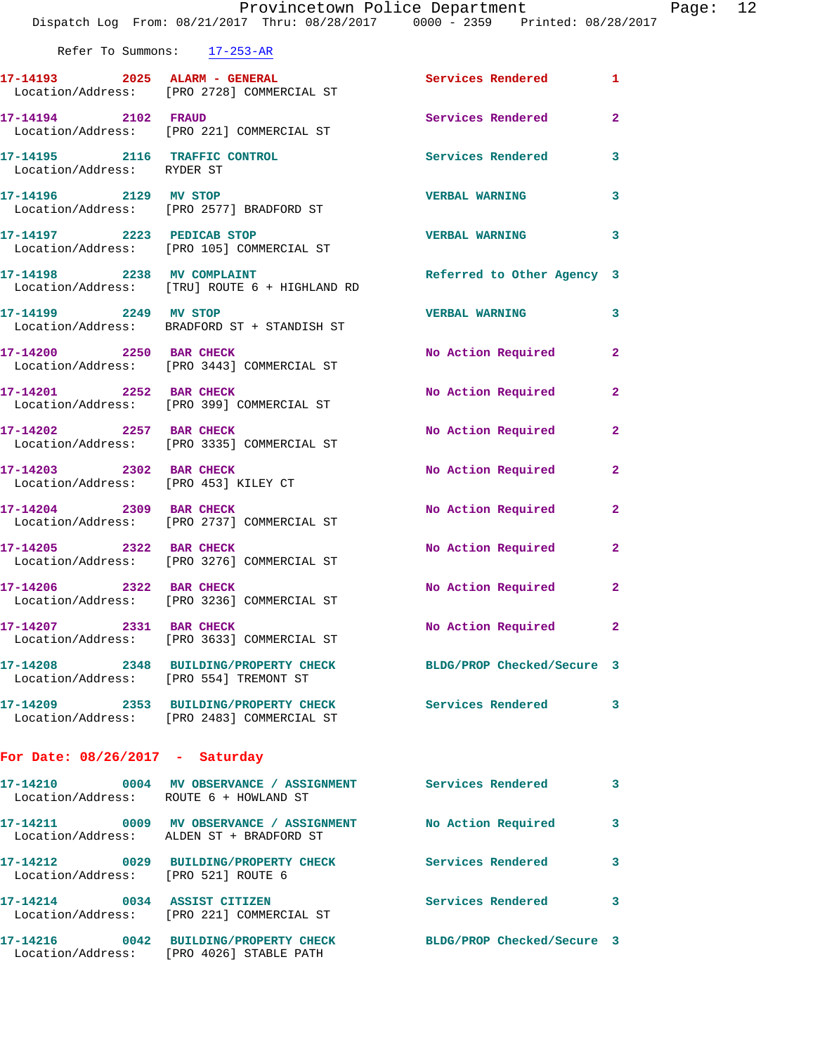|                                        | Dispatch Log From: 08/21/2017 Thru: 08/28/2017 0000 - 2359 Printed: 08/28/2017                        | Provincetown Police Department |              | Page: $12$ |  |
|----------------------------------------|-------------------------------------------------------------------------------------------------------|--------------------------------|--------------|------------|--|
|                                        | Refer To Summons: 17-253-AR                                                                           |                                |              |            |  |
|                                        | 17-14193 2025 ALARM - GENERAL<br>  Location/Address: [PRO 2728] COMMERCIAL ST                         | Services Rendered 1            |              |            |  |
| 17-14194 2102 FRAUD                    | Location/Address: [PRO 221] COMMERCIAL ST                                                             | Services Rendered              | $\mathbf{2}$ |            |  |
| Location/Address: RYDER ST             | 17-14195 2116 TRAFFIC CONTROL                                                                         | Services Rendered 3            |              |            |  |
|                                        | 17-14196 2129 MV STOP<br>Location/Address: [PRO 2577] BRADFORD ST                                     | <b>VERBAL WARNING</b>          | 3            |            |  |
|                                        | 17-14197 2223 PEDICAB STOP<br>Location/Address: [PRO 105] COMMERCIAL ST                               | <b>VERBAL WARNING</b>          | 3            |            |  |
|                                        | 17-14198 2238 MV COMPLAINT<br>Location/Address: [TRU] ROUTE 6 + HIGHLAND RD                           | Referred to Other Agency 3     |              |            |  |
| 17-14199 2249 MV STOP                  | Location/Address: BRADFORD ST + STANDISH ST                                                           | VERBAL WARNING 3               |              |            |  |
|                                        | 17-14200 2250 BAR CHECK<br>Location/Address: [PRO 3443] COMMERCIAL ST                                 | No Action Required             | $\mathbf{2}$ |            |  |
| 17-14201 2252 BAR CHECK                | Location/Address: [PRO 399] COMMERCIAL ST                                                             | No Action Required             | $\mathbf{2}$ |            |  |
|                                        | 17-14202 2257 BAR CHECK<br>Location/Address: [PRO 3335] COMMERCIAL ST                                 | No Action Required             | $\mathbf{2}$ |            |  |
| 17-14203 2302 BAR CHECK                | Location/Address: [PRO 453] KILEY CT                                                                  | No Action Required             | $\mathbf{2}$ |            |  |
|                                        | 17-14204 2309 BAR CHECK<br>Location/Address: [PRO 2737] COMMERCIAL ST                                 | No Action Required             | $\mathbf{2}$ |            |  |
| 17-14205 2322 BAR CHECK                | Location/Address: [PRO 3276] COMMERCIAL ST                                                            | No Action Required             | $\mathbf{2}$ |            |  |
| 17-14206 2322 BAR CHECK                | Location/Address: [PRO 3236] COMMERCIAL ST                                                            | No Action Required             | $\mathbf{2}$ |            |  |
| 17-14207 2331 BAR CHECK                | Location/Address: [PRO 3633] COMMERCIAL ST                                                            | No Action Required             | 2            |            |  |
| Location/Address: [PRO 554] TREMONT ST | 17-14208 2348 BUILDING/PROPERTY CHECK                                                                 | BLDG/PROP Checked/Secure 3     |              |            |  |
|                                        | 17-14209 2353 BUILDING/PROPERTY CHECK Services Rendered<br>Location/Address: [PRO 2483] COMMERCIAL ST |                                | 3            |            |  |
| For Date: $08/26/2017$ - Saturday      |                                                                                                       |                                |              |            |  |
| Location/Address: ROUTE 6 + HOWLAND ST | 17-14210 0004 MV OBSERVANCE / ASSIGNMENT Services Rendered                                            |                                | 3            |            |  |
|                                        | 17-14211 0009 MV OBSERVANCE / ASSIGNMENT<br>Location/Address: ALDEN ST + BRADFORD ST                  | No Action Required             | 3            |            |  |
| Location/Address: [PRO 521] ROUTE 6    | 17-14212 0029 BUILDING/PROPERTY CHECK Services Rendered                                               |                                | 3            |            |  |
|                                        | 17-14214 0034 ASSIST CITIZEN<br>Location/Address: [PRO 221] COMMERCIAL ST                             | Services Rendered              | 3            |            |  |
|                                        |                                                                                                       |                                |              |            |  |

**17-14216 0042 BUILDING/PROPERTY CHECK BLDG/PROP Checked/Secure 3** 

Location/Address: [PRO 4026] STABLE PATH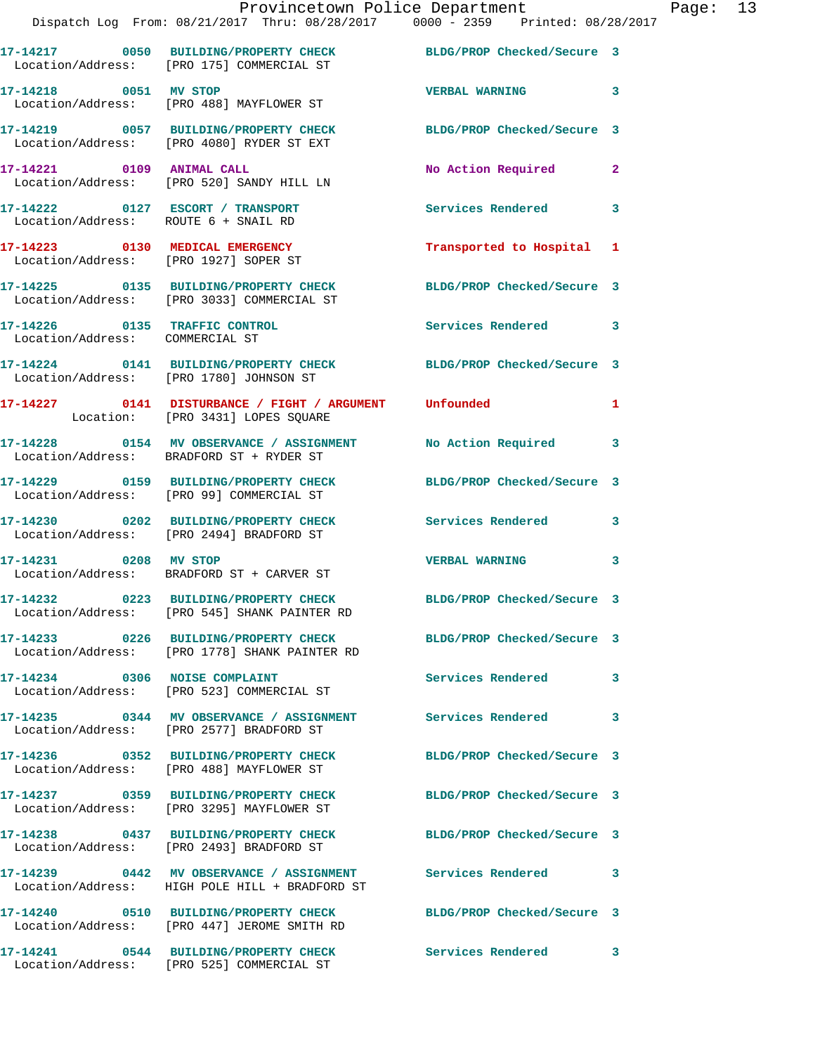|                                                                          | Provincetown Police Department<br>Dispatch Log From: 08/21/2017 Thru: 08/28/2017 0000 - 2359 Printed: 08/28/2017 |                            |                |
|--------------------------------------------------------------------------|------------------------------------------------------------------------------------------------------------------|----------------------------|----------------|
|                                                                          | 17-14217 0050 BUILDING/PROPERTY CHECK BLDG/PROP Checked/Secure 3<br>Location/Address: [PRO 175] COMMERCIAL ST    |                            |                |
|                                                                          | 17-14218 0051 MV STOP<br>Location/Address: [PRO 488] MAYFLOWER ST                                                | <b>VERBAL WARNING</b>      | 3              |
|                                                                          | 17-14219 0057 BUILDING/PROPERTY CHECK BLDG/PROP Checked/Secure 3<br>Location/Address: [PRO 4080] RYDER ST EXT    |                            |                |
| 17-14221 0109 ANIMAL CALL                                                | Location/Address: [PRO 520] SANDY HILL LN                                                                        | No Action Required         | $\overline{2}$ |
| 17-14222 0127 ESCORT / TRANSPORT<br>Location/Address: ROUTE 6 + SNAIL RD |                                                                                                                  | Services Rendered          | 3              |
| 17-14223 0130 MEDICAL EMERGENCY<br>Location/Address: [PRO 1927] SOPER ST |                                                                                                                  | Transported to Hospital    | 1              |
|                                                                          | 17-14225 0135 BUILDING/PROPERTY CHECK BLDG/PROP Checked/Secure 3<br>Location/Address: [PRO 3033] COMMERCIAL ST   |                            |                |
| 17-14226 0135 TRAFFIC CONTROL<br>Location/Address: COMMERCIAL ST         |                                                                                                                  | <b>Services Rendered</b>   | 3              |
|                                                                          | 17-14224 0141 BUILDING/PROPERTY CHECK BLDG/PROP Checked/Secure 3<br>Location/Address: [PRO 1780] JOHNSON ST      |                            |                |
|                                                                          | 17-14227 0141 DISTURBANCE / FIGHT / ARGUMENT Unfounded<br>Location: [PRO 3431] LOPES SQUARE                      |                            | 1              |
|                                                                          | 17-14228 0154 MV OBSERVANCE / ASSIGNMENT<br>Location/Address: BRADFORD ST + RYDER ST                             | No Action Required         | 3              |
|                                                                          | 17-14229 0159 BUILDING/PROPERTY CHECK BLDG/PROP Checked/Secure 3<br>Location/Address: [PRO 99] COMMERCIAL ST     |                            |                |
|                                                                          | 17-14230 0202 BUILDING/PROPERTY CHECK Services Rendered<br>Location/Address: [PRO 2494] BRADFORD ST              |                            | 3              |
| 17-14231 0208 MV STOP                                                    | Location/Address: BRADFORD ST + CARVER ST                                                                        | <b>VERBAL WARNING</b>      | 3              |
|                                                                          | 17-14232  0223 BUILDING/PROPERTY CHECK<br>Location/Address: [PRO 545] SHANK PAINTER RD                           | BLDG/PROP Checked/Secure 3 |                |
|                                                                          | 17-14233  0226 BUILDING/PROPERTY CHECK<br>Location/Address: [PRO 1778] SHANK PAINTER RD                          | BLDG/PROP Checked/Secure 3 |                |
| 17-14234 0306 NOISE COMPLAINT                                            | Location/Address: [PRO 523] COMMERCIAL ST                                                                        | Services Rendered          | 3              |
|                                                                          | Location/Address: [PRO 2577] BRADFORD ST                                                                         | <b>Services Rendered</b>   | 3              |
|                                                                          | 17-14236 0352 BUILDING/PROPERTY CHECK<br>Location/Address: [PRO 488] MAYFLOWER ST                                | BLDG/PROP Checked/Secure 3 |                |
|                                                                          | 17-14237 0359 BUILDING/PROPERTY CHECK<br>Location/Address: [PRO 3295] MAYFLOWER ST                               | BLDG/PROP Checked/Secure 3 |                |
| 17-14238                                                                 | 0437 BUILDING/PROPERTY CHECK                                                                                     | BLDG/PROP Checked/Secure 3 |                |

Location/Address: [PRO 2493] BRADFORD ST

**17-14239 0442 MV OBSERVANCE / ASSIGNMENT Services Rendered 3**  Location/Address: HIGH POLE HILL + BRADFORD ST

**17-14240 0510 BUILDING/PROPERTY CHECK BLDG/PROP Checked/Secure 3** 

 Location/Address: [PRO 447] JEROME SMITH RD **17-14241 0544 BUILDING/PROPERTY CHECK Services Rendered 3** 

Location/Address: [PRO 525] COMMERCIAL ST

Page: 13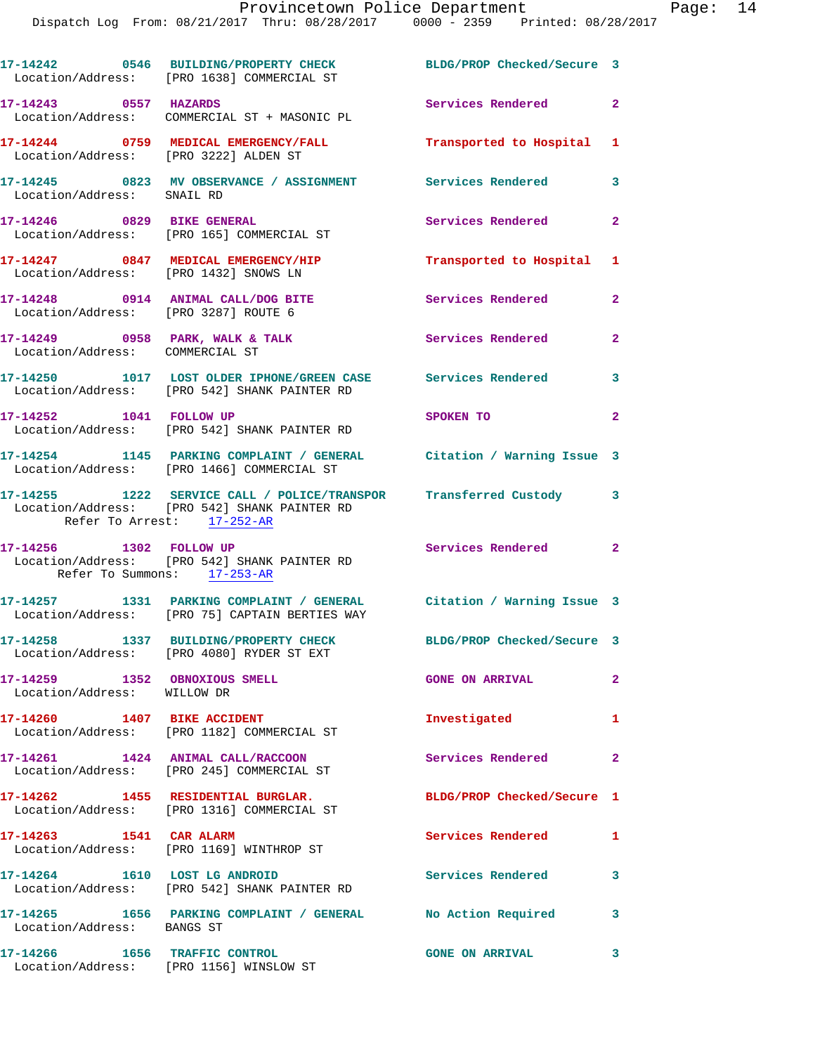|                                                              | 17-14242 0546 BUILDING/PROPERTY CHECK<br>Location/Address: [PRO 1638] COMMERCIAL ST                                    | BLDG/PROP Checked/Secure 3 |                |
|--------------------------------------------------------------|------------------------------------------------------------------------------------------------------------------------|----------------------------|----------------|
| 17-14243 0557 HAZARDS                                        | Location/Address: COMMERCIAL ST + MASONIC PL                                                                           | Services Rendered 2        |                |
| Location/Address: [PRO 3222] ALDEN ST                        | 17-14244 0759 MEDICAL EMERGENCY/FALL                                                                                   | Transported to Hospital 1  |                |
| Location/Address: SNAIL RD                                   | 17-14245 0823 MV OBSERVANCE / ASSIGNMENT Services Rendered 3                                                           |                            |                |
| 17-14246 0829 BIKE GENERAL                                   | Location/Address: [PRO 165] COMMERCIAL ST                                                                              | Services Rendered 2        |                |
| Location/Address: [PRO 1432] SNOWS LN                        | 17-14247 0847 MEDICAL EMERGENCY/HIP                                                                                    | Transported to Hospital 1  |                |
| Location/Address: [PRO 3287] ROUTE 6                         | 17-14248 0914 ANIMAL CALL/DOG BITE                                                                                     | <b>Services Rendered</b>   | $\mathbf{2}$   |
| Location/Address: COMMERCIAL ST                              | $17-14249$ 0958 PARK, WALK & TALK                                                                                      | <b>Services Rendered</b>   | $\overline{2}$ |
|                                                              | 17-14250 1017 LOST OLDER IPHONE/GREEN CASE Services Rendered 3<br>Location/Address: [PRO 542] SHANK PAINTER RD         |                            |                |
|                                                              | 17-14252 1041 FOLLOW UP<br>Location/Address: [PRO 542] SHANK PAINTER RD                                                | SPOKEN TO                  | $\mathbf{2}$   |
|                                                              | 17-14254 1145 PARKING COMPLAINT / GENERAL Citation / Warning Issue 3<br>Location/Address: [PRO 1466] COMMERCIAL ST     |                            |                |
| Refer To Arrest: 17-252-AR                                   | 17-14255 1222 SERVICE CALL / POLICE/TRANSPOR Transferred Custody 3<br>Location/Address: [PRO 542] SHANK PAINTER RD     |                            |                |
| Refer To Summons: 17-253-AR                                  | 17-14256 1302 FOLLOW UP<br>Location/Address: [PRO 542] SHANK PAINTER RD                                                | Services Rendered 2        |                |
|                                                              | 17-14257 1331 PARKING COMPLAINT / GENERAL Citation / Warning Issue 3<br>Location/Address: [PRO 75] CAPTAIN BERTIES WAY |                            |                |
|                                                              | 17-14258 1337 BUILDING/PROPERTY CHECK BLDG/PROP Checked/Secure 3<br>Location/Address: [PRO 4080] RYDER ST EXT          |                            |                |
| 17-14259 1352 OBNOXIOUS SMELL<br>Location/Address: WILLOW DR |                                                                                                                        | <b>GONE ON ARRIVAL</b>     | $\overline{2}$ |
| 17-14260 1407 BIKE ACCIDENT                                  | Location/Address: [PRO 1182] COMMERCIAL ST                                                                             | Investigated               | $\mathbf{1}$   |
|                                                              | 17-14261 1424 ANIMAL CALL/RACCOON<br>Location/Address: [PRO 245] COMMERCIAL ST                                         | Services Rendered          | $\mathbf{2}$   |
|                                                              | 17-14262 1455 RESIDENTIAL BURGLAR.<br>Location/Address: [PRO 1316] COMMERCIAL ST                                       | BLDG/PROP Checked/Secure 1 |                |
| 17-14263 1541 CAR ALARM                                      | Location/Address: [PRO 1169] WINTHROP ST                                                                               | Services Rendered          | 1              |
| 17-14264 1610 LOST LG ANDROID                                | Location/Address: [PRO 542] SHANK PAINTER RD                                                                           | <b>Services Rendered</b>   | 3              |
| Location/Address: BANGS ST                                   | 17-14265 1656 PARKING COMPLAINT / GENERAL No Action Required                                                           |                            | 3              |
| 17-14266 1656 TRAFFIC CONTROL                                | Location/Address: [PRO 1156] WINSLOW ST                                                                                | <b>GONE ON ARRIVAL</b>     | 3              |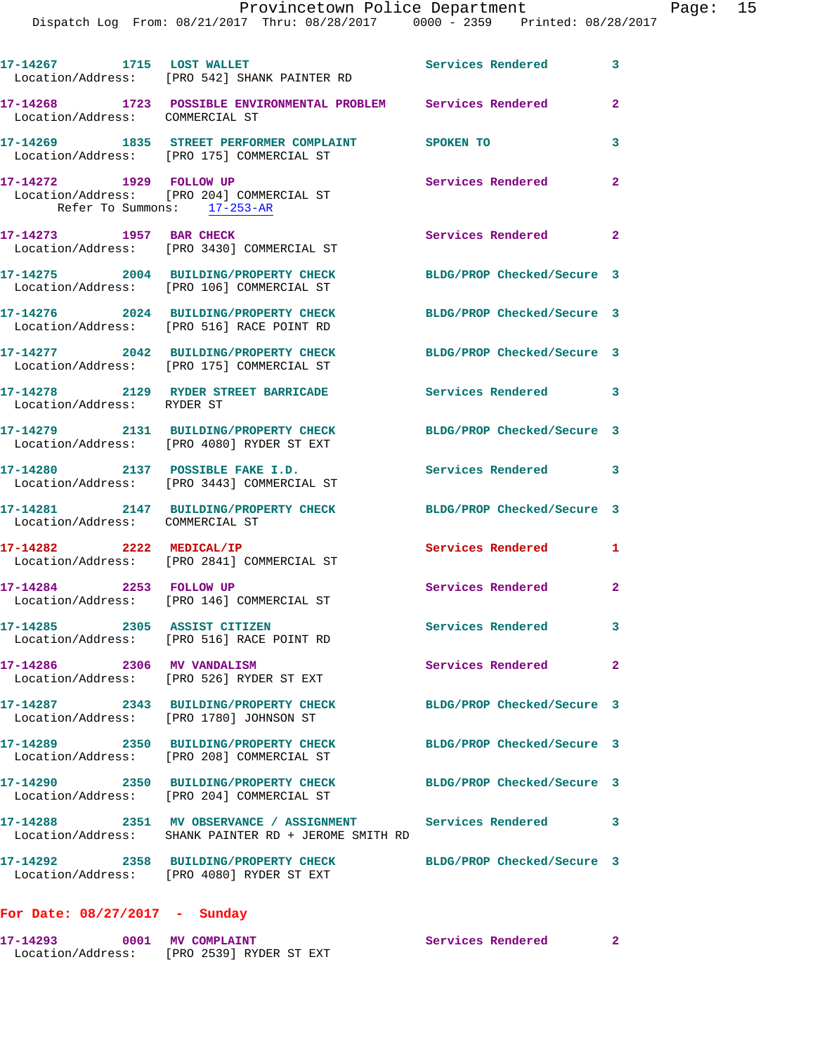|                                                        | 17-14267 1715 LOST WALLET<br>Location/Address: [PRO 542] SHANK PAINTER RD                                          | <b>Services Rendered</b>   | 3                          |
|--------------------------------------------------------|--------------------------------------------------------------------------------------------------------------------|----------------------------|----------------------------|
| Location/Address: COMMERCIAL ST                        | 17-14268 1723 POSSIBLE ENVIRONMENTAL PROBLEM Services Rendered                                                     |                            | $\mathbf{2}$               |
|                                                        | 17-14269 1835 STREET PERFORMER COMPLAINT<br>Location/Address: [PRO 175] COMMERCIAL ST                              | SPOKEN TO                  | 3                          |
| 17-14272 1929 FOLLOW UP<br>Refer To Summons: 17-253-AR | Location/Address: [PRO 204] COMMERCIAL ST                                                                          | Services Rendered          | $\overline{\phantom{0}}$ 2 |
| 17-14273 1957 BAR CHECK                                | Location/Address: [PRO 3430] COMMERCIAL ST                                                                         | Services Rendered 2        |                            |
|                                                        | 17-14275 2004 BUILDING/PROPERTY CHECK<br>Location/Address: [PRO 106] COMMERCIAL ST                                 | BLDG/PROP Checked/Secure 3 |                            |
|                                                        | 17-14276 2024 BUILDING/PROPERTY CHECK<br>Location/Address: [PRO 516] RACE POINT RD                                 | BLDG/PROP Checked/Secure 3 |                            |
|                                                        | 17-14277 2042 BUILDING/PROPERTY CHECK<br>Location/Address: [PRO 175] COMMERCIAL ST                                 | BLDG/PROP Checked/Secure 3 |                            |
| Location/Address: RYDER ST                             | 17-14278 2129 RYDER STREET BARRICADE                                                                               | <b>Services Rendered</b>   | $\overline{\phantom{a}}$ 3 |
|                                                        | 17-14279 2131 BUILDING/PROPERTY CHECK<br>Location/Address: [PRO 4080] RYDER ST EXT                                 | BLDG/PROP Checked/Secure 3 |                            |
|                                                        | 17-14280 2137 POSSIBLE FAKE I.D.<br>Location/Address: [PRO 3443] COMMERCIAL ST                                     | Services Rendered 3        |                            |
| Location/Address: COMMERCIAL ST                        | 17-14281 2147 BUILDING/PROPERTY CHECK                                                                              | BLDG/PROP Checked/Secure 3 |                            |
| 17-14282 2222 MEDICAL/IP                               | Location/Address: [PRO 2841] COMMERCIAL ST                                                                         | Services Rendered          | 1                          |
|                                                        | 17-14284 2253 FOLLOW UP<br>Location/Address: [PRO 146] COMMERCIAL ST                                               | Services Rendered          | $\mathbf{2}$               |
| 17-14285 2305 ASSIST CITIZEN                           | Location/Address: [PRO 516] RACE POINT RD                                                                          | <b>Services Rendered</b> 3 |                            |
| 17-14286  2306 MV VANDALISM                            | Location/Address: [PRO 526] RYDER ST EXT                                                                           | <b>Services Rendered</b>   | $\overline{\mathbf{2}}$    |
| Location/Address: [PRO 1780] JOHNSON ST                |                                                                                                                    | BLDG/PROP Checked/Secure 3 |                            |
|                                                        | 17-14289 2350 BUILDING/PROPERTY CHECK<br>Location/Address: [PRO 208] COMMERCIAL ST                                 | BLDG/PROP Checked/Secure 3 |                            |
|                                                        | 17-14290 2350 BUILDING/PROPERTY CHECK<br>Location/Address: [PRO 204] COMMERCIAL ST                                 | BLDG/PROP Checked/Secure 3 |                            |
|                                                        | 17-14288 2351 MV OBSERVANCE / ASSIGNMENT Services Rendered<br>Location/Address: SHANK PAINTER RD + JEROME SMITH RD |                            | $\overline{\mathbf{3}}$    |
|                                                        | 17-14292 2358 BUILDING/PROPERTY CHECK<br>Location/Address: [PRO 4080] RYDER ST EXT                                 | BLDG/PROP Checked/Secure 3 |                            |
| For Date: $08/27/2017$ - Sunday                        |                                                                                                                    |                            |                            |

## **For Date: 08/27/2017 - Sunday**

| 17-14293          | 0001 MV COMPLAINT      |  |  | Services Rendered |  |
|-------------------|------------------------|--|--|-------------------|--|
| Location/Address: | FRO 25391 RYDER ST EXT |  |  |                   |  |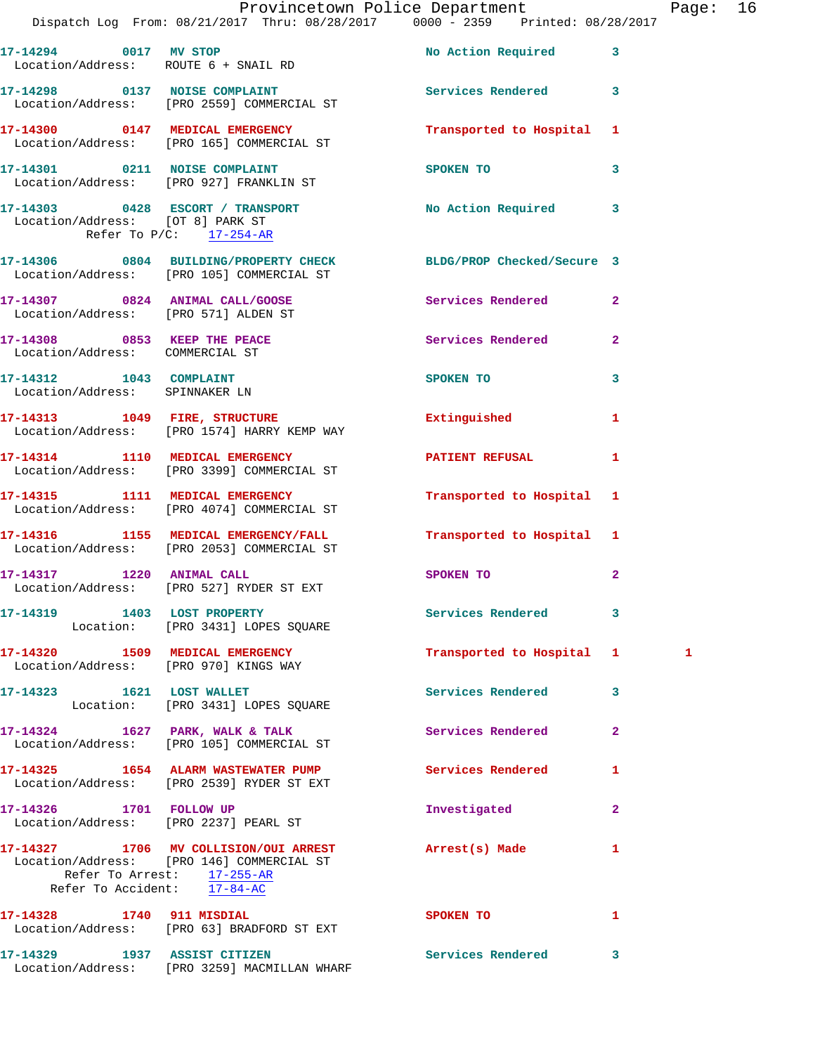|                                                           | Provincetown Police Department Page: 16<br>Dispatch Log From: 08/21/2017 Thru: 08/28/2017   0000 - 2359   Printed: 08/28/2017 |                                         |              |   |  |
|-----------------------------------------------------------|-------------------------------------------------------------------------------------------------------------------------------|-----------------------------------------|--------------|---|--|
|                                                           | 17-14294 0017 MV STOP<br>Location/Address: ROUTE 6 + SNAIL RD                                                                 | No Action Required 3                    |              |   |  |
|                                                           | 17-14298 0137 NOISE COMPLAINT<br>Location/Address: [PRO 2559] COMMERCIAL ST                                                   | Services Rendered 3                     |              |   |  |
|                                                           | 17-14300 0147 MEDICAL EMERGENCY Transported to Hospital 1<br>Location/Address: [PRO 165] COMMERCIAL ST                        |                                         |              |   |  |
|                                                           | 17-14301 0211 NOISE COMPLAINT<br>Location/Address: [PRO 927] FRANKLIN ST                                                      | SPOKEN TO 3                             |              |   |  |
| Location/Address: [OT 8] PARK ST                          | 17-14303 0428 ESCORT / TRANSPORT No Action Required 3<br>Refer To $P/C$ : 17-254-AR                                           |                                         |              |   |  |
|                                                           | 17-14306 0804 BUILDING/PROPERTY CHECK BLDG/PROP Checked/Secure 3<br>Location/Address: [PRO 105] COMMERCIAL ST                 |                                         |              |   |  |
| Location/Address: [PRO 571] ALDEN ST                      | 17-14307 0824 ANIMAL CALL/GOOSE Services Rendered 2                                                                           |                                         |              |   |  |
| Location/Address: COMMERCIAL ST                           | 17-14308 0853 KEEP THE PEACE Services Rendered 2                                                                              |                                         |              |   |  |
| Location/Address: SPINNAKER LN                            | 17-14312 1043 COMPLAINT                                                                                                       | SPOKEN TO                               | $\mathbf{3}$ |   |  |
|                                                           | 17-14313 1049 FIRE, STRUCTURE<br>Location/Address: [PRO 1574] HARRY KEMP WAY                                                  | Extinguished                            | $\mathbf{1}$ |   |  |
|                                                           | 17-14314 1110 MEDICAL EMERGENCY<br>Location/Address: [PRO 3399] COMMERCIAL ST                                                 | PATIENT REFUSAL 1                       |              |   |  |
|                                                           | 17-14315 1111 MEDICAL EMERGENCY Transported to Hospital 1<br>Location/Address: [PRO 4074] COMMERCIAL ST                       |                                         |              |   |  |
|                                                           | 17-14316 1155 MEDICAL EMERGENCY/FALL 1 Transported to Hospital 1<br>Location/Address: [PRO 2053] COMMERCIAL ST                |                                         |              |   |  |
|                                                           | 17-14317 1220 ANIMAL CALL<br>Location/Address: [PRO 527] RYDER ST EXT                                                         | SPOKEN TO AND THE SPOKEN TO             | $\mathbf{2}$ |   |  |
|                                                           | 17-14319 1403 LOST PROPERTY<br>Location: [PRO 3431] LOPES SQUARE                                                              | Services Rendered 3                     |              |   |  |
|                                                           | 17-14320 1509 MEDICAL EMERGENCY<br>Location/Address: [PRO 970] KINGS WAY                                                      | Transported to Hospital 1               |              | 1 |  |
|                                                           | 17-14323 1621 LOST WALLET<br>Location: [PRO 3431] LOPES SQUARE                                                                | Services Rendered                       | $\mathbf{3}$ |   |  |
|                                                           | 17-14324 1627 PARK, WALK & TALK<br>Location/Address: [PRO 105] COMMERCIAL ST                                                  | Services Rendered                       | $\mathbf{2}$ |   |  |
|                                                           | 17-14325 1654 ALARM WASTEWATER PUMP<br>Location/Address: [PRO 2539] RYDER ST EXT                                              | Services Rendered                       | 1            |   |  |
| 17-14326 1701 FOLLOW UP                                   | Location/Address: [PRO 2237] PEARL ST                                                                                         | Investigated                            | $\mathbf{2}$ |   |  |
| Refer To Arrest: 17-255-AR<br>Refer To Accident: 17-84-AC | 17-14327 1706 MV COLLISION/OUI ARREST Arrest(s) Made<br>Location/Address: [PRO 146] COMMERCIAL ST                             |                                         | $\mathbf{1}$ |   |  |
|                                                           | 17-14328 1740 911 MISDIAL<br>Location/Address: [PRO 63] BRADFORD ST EXT                                                       | SPOKEN TO DESCRIPTION OF REAL PROPERTY. | 1            |   |  |
|                                                           | 17-14329 1937 ASSIST CITIZEN                                                                                                  | Services Rendered 3                     |              |   |  |

Location/Address: [PRO 3259] MACMILLAN WHARF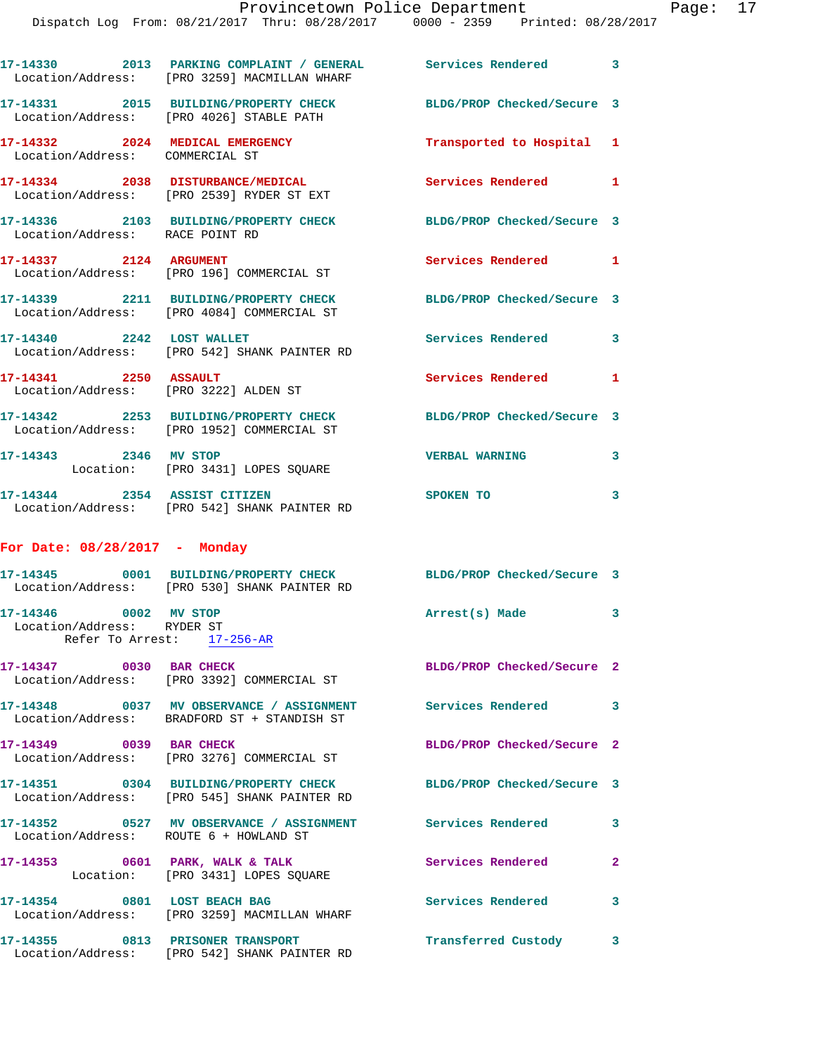Dispatch Log From: 08/21/2017 Thru: 08/28/2017 0000 - 2359 Printed: 08/28/2017

|                                                                                   | 17-14330 2013 PARKING COMPLAINT / GENERAL Services Rendered 3<br>Location/Address: [PRO 3259] MACMILLAN WHARF    |                            |                         |
|-----------------------------------------------------------------------------------|------------------------------------------------------------------------------------------------------------------|----------------------------|-------------------------|
|                                                                                   | 17-14331 2015 BUILDING/PROPERTY CHECK BLDG/PROP Checked/Secure 3<br>Location/Address: [PRO 4026] STABLE PATH     |                            |                         |
| Location/Address: COMMERCIAL ST                                                   | 17-14332 2024 MEDICAL EMERGENCY                                                                                  | Transported to Hospital 1  |                         |
|                                                                                   | 17-14334 2038 DISTURBANCE/MEDICAL<br>Location/Address: [PRO 2539] RYDER ST EXT                                   | Services Rendered 1        |                         |
| Location/Address: RACE POINT RD                                                   | 17-14336 2103 BUILDING/PROPERTY CHECK                                                                            | BLDG/PROP Checked/Secure 3 |                         |
| 17-14337 2124 ARGUMENT                                                            | Location/Address: [PRO 196] COMMERCIAL ST                                                                        | Services Rendered 1        |                         |
|                                                                                   | 17-14339 2211 BUILDING/PROPERTY CHECK<br>Location/Address: [PRO 4084] COMMERCIAL ST                              | BLDG/PROP Checked/Secure 3 |                         |
| 17-14340 2242 LOST WALLET                                                         | Location/Address: [PRO 542] SHANK PAINTER RD                                                                     | Services Rendered          | 3                       |
| 17-14341 2250 ASSAULT                                                             | Location/Address: [PRO 3222] ALDEN ST                                                                            | Services Rendered          | 1                       |
|                                                                                   | 17-14342 2253 BUILDING/PROPERTY CHECK<br>Location/Address: [PRO 1952] COMMERCIAL ST                              | BLDG/PROP Checked/Secure 3 |                         |
| 17-14343 2346 MV STOP                                                             | Location: [PRO 3431] LOPES SQUARE                                                                                | <b>VERBAL WARNING</b>      | 3                       |
| 17-14344 2354 ASSIST CITIZEN                                                      | Location/Address: [PRO 542] SHANK PAINTER RD                                                                     | SPOKEN TO                  | $\overline{\mathbf{3}}$ |
| For Date: 08/28/2017 - Monday                                                     |                                                                                                                  |                            |                         |
|                                                                                   | 17-14345 0001 BUILDING/PROPERTY CHECK BLDG/PROP Checked/Secure 3<br>Location/Address: [PRO 530] SHANK PAINTER RD |                            |                         |
| 17-14346 0002 MV STOP<br>Location/Address: RYDER ST<br>Refer To Arrest: 17-256-AR |                                                                                                                  | Arrest(s) Made             | 3                       |
| 17-14347 0030 BAR CHECK                                                           | Location/Address: [PRO 3392] COMMERCIAL ST                                                                       | BLDG/PROP Checked/Secure 2 |                         |
|                                                                                   | 17-14348 0037 MV OBSERVANCE / ASSIGNMENT Services Rendered 3<br>Location/Address: BRADFORD ST + STANDISH ST      |                            |                         |
| 17-14349 0039 BAR CHECK                                                           | Location/Address: [PRO 3276] COMMERCIAL ST                                                                       | BLDG/PROP Checked/Secure 2 |                         |
|                                                                                   | 17-14351 0304 BUILDING/PROPERTY CHECK<br>Location/Address: [PRO 545] SHANK PAINTER RD                            | BLDG/PROP Checked/Secure 3 |                         |
| Location/Address: ROUTE 6 + HOWLAND ST                                            | 17-14352 0527 MV OBSERVANCE / ASSIGNMENT Services Rendered                                                       |                            | 3                       |
|                                                                                   | 17-14353 0601 PARK, WALK & TALK<br>Location: [PRO 3431] LOPES SQUARE                                             | <b>Services Rendered</b>   | $\mathbf{2}$            |
| 17-14354 0801 LOST BEACH BAG                                                      | Location/Address: [PRO 3259] MACMILLAN WHARF                                                                     | Services Rendered          | 3                       |
|                                                                                   | 17-14355 0813 PRISONER TRANSPORT<br>Location/Address: [PRO 542] SHANK PAINTER RD                                 | Transferred Custody 3      |                         |